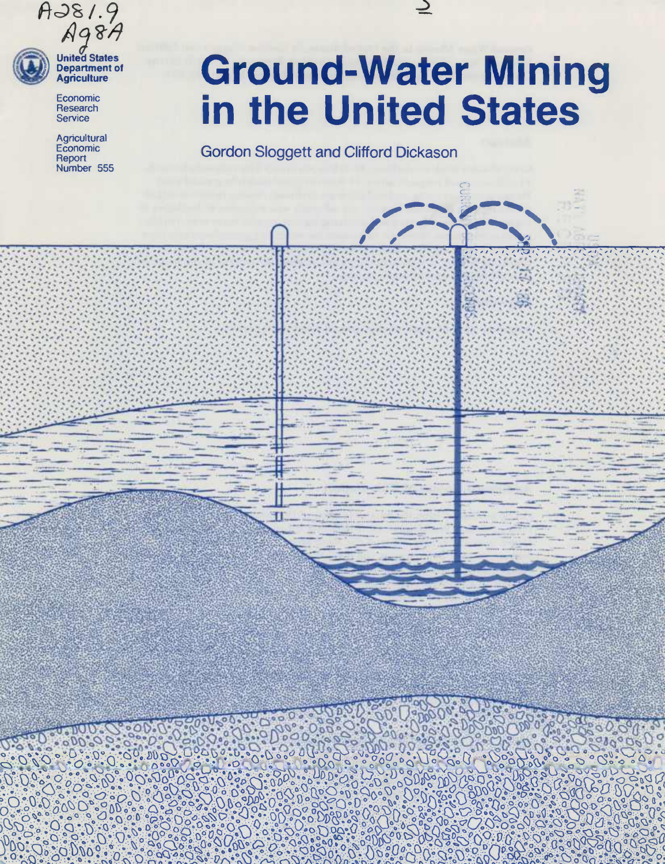

**II) Department of** *-'* **Agriculture**

> Economie **Research Service**

**Agricultural** Economie **Report** Number 555

 $.20$ 

# **Ground-Water Mining In the United States**

OC Ö

 $\ddot{Q}$ 

o.o

**cr.**

**Gordon Sloggett and Clifford Dickason**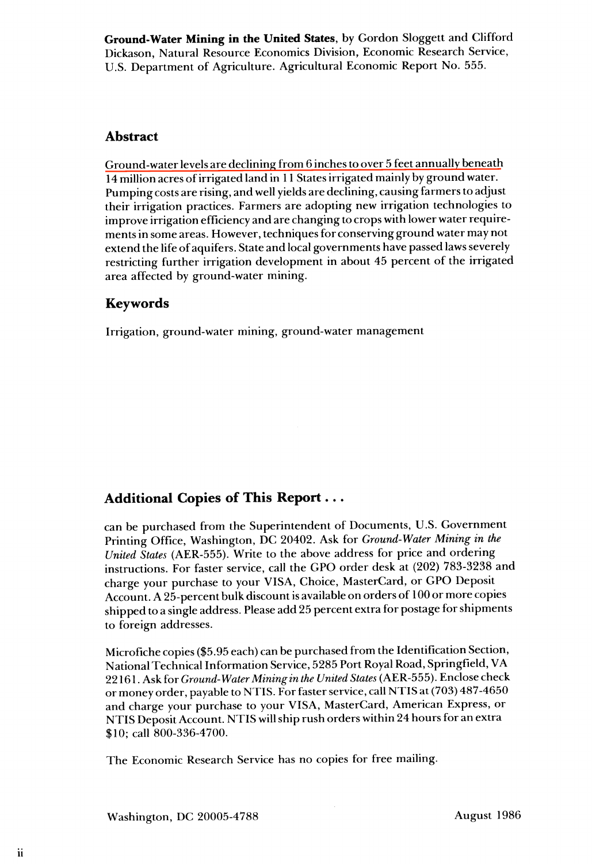**Ground-Water Mining in the United States,** by Gordon Sloggett and Clifford Dickason, Natural Resource Economics Division, Economic Research Service, U.S. Department of Agriculture. Agricultural Economic Report No. 555.

# **Abstract**

Ground-water levels are declining from 6 inches to over 5 feet annually beneath  $\overline{14}$  million acres of irrigated land in 11 States irrigated mainly by ground water. Pumping costs are rising, and well yields are declining, causing farmers to adjust their irrigation practices. Farmers are adopting new irrigation technologies to improve irrigation efficiency and are changing to crops with lower water requirements in some areas. However, techniques for conserving ground water may not extend the life of aquifers. State and local governments have passed laws severely restricting further irrigation development in about 45 percent of the irrigated area affected by ground-water mining.

# **Keywords**

Irrigation, ground-water mining, ground-water management

# **Additional Copies of This Report...**

can be purchased from the Superintendent of Documents, U.S. Government Printing Office, Washington, DC 20402. Ask for *Ground-Water Mining in the United States* (AER-555). Write to the above address for price and ordering instructions. For faster service, call the GPO order desk at (202) 783-3238 and charge your purchase to your VISA, Choice, MasterCard, or GPO Deposit Account. A 25-percent bulk discount is available on orders of 100 or more copies shipped to a single address. Please add 25 percent extra for postage for shipments to foreign addresses.

Microfiche copies (\$5.95 each) can be purchased from the Identification Section, National Technical Information Service, 5285 Port Royal Road, Springfield, VA *22161. Ask ÍOT Ground-Water Mining in the UnitedStates* (AER-555). Enclose check or money order, payable to NTIS. For faster service, call NTIS at (703) 487-4650 and charge your purchase to your VISA, MasterCard, American Express, or NTIS Deposit Account. NTIS will ship rush orders within 24 hours for an extra \$10; call 800-336-4700.

The Economic Research Service has no copies for free mailing.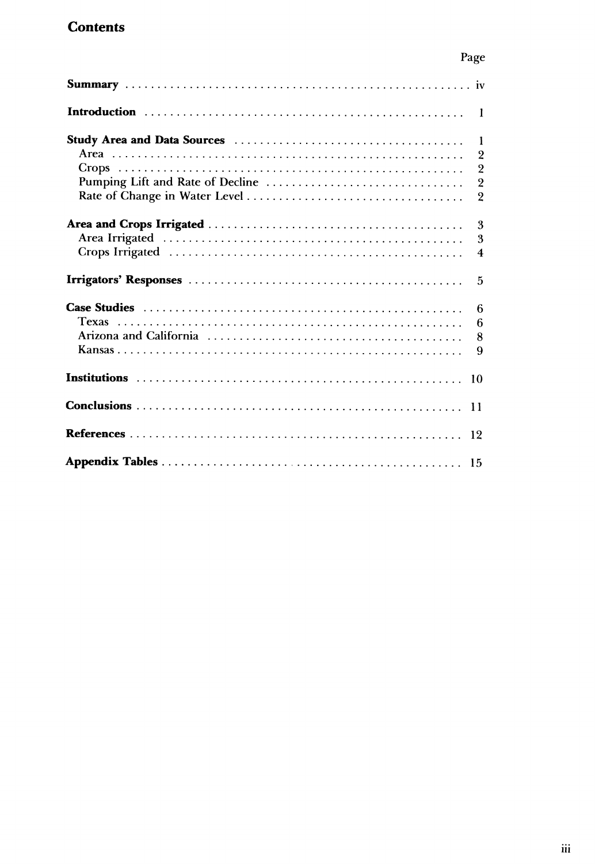# **Contents**

|                                  | $\overline{2}$                   |
|----------------------------------|----------------------------------|
| Pumping Lift and Rate of Decline | $\overline{2}$<br>$\overline{2}$ |
|                                  | $\overline{2}$                   |
|                                  | 3                                |
|                                  | 3                                |
|                                  | $\overline{4}$                   |
|                                  | $\overline{5}$                   |
|                                  | - 6                              |
|                                  | 6                                |
|                                  | 8                                |
|                                  | 9                                |
|                                  |                                  |
|                                  |                                  |
|                                  | 12                               |
|                                  |                                  |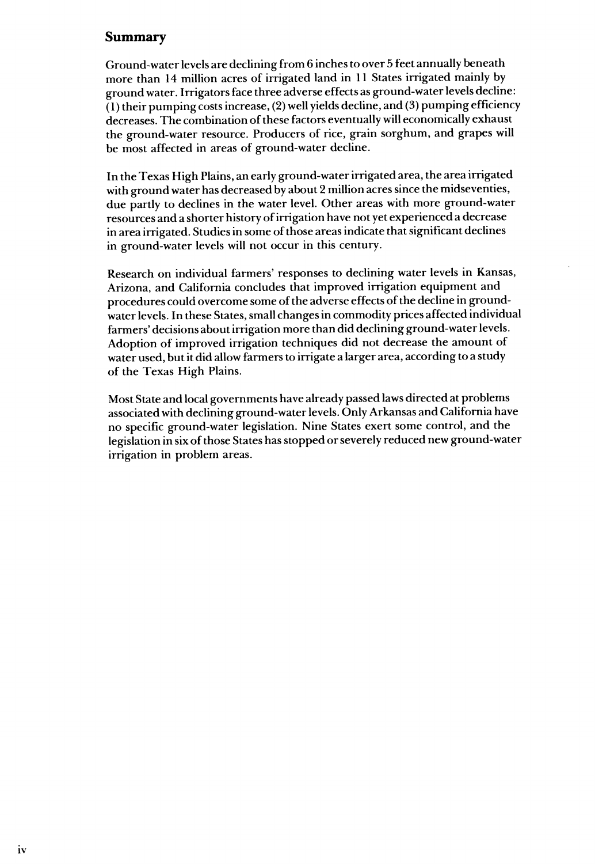# **Summary**

Ground-water levels are declining from 6 inches to over 5 feet annually beneath more than 14 million acres of irrigated land in 11 States irrigated mainly by ground water. Irrigators face three adverse effects as ground-water levels decline:  $(1)$  their pumping costs increase, (2) well yields decline, and (3) pumping efficiency decreases. The combination of these factors eventually will economically exhaust the ground-water resource. Producers of rice, grain sorghum, and grapes will be most affected in areas of ground-water decline.

In the Texas High Plains, an early ground-water irrigated area, the area irrigated with ground water has decreased by about 2 million acres since the midseventies, due pardy to declines in the water level. Other areas with more ground-water resources and a shorter history ofirrigation have not yet experienced a decrease in area irrigated. Studies in some of those areas indicate that significant declines in ground-water levels will not occur in this century.

Research on individual farmers' responses to declining water levels in Kansas, Arizona, and California concludes that improved irrigation equipment and procedures could overcome some of the adverse effects of the decline in groundwater levels. In these States, small changes in commodity prices affected individual farmers' decisions about irrigation more than did declining ground-water levels. Adoption of improved irrigation techniques did not decrease the amount of water used, butit did allow farmers to irrigate a larger area, according to a study of the Texas High Plains.

Most State and local governments have already passed laws directed at problems associated with declining ground-water levels. Only Arkansas and California have no specific ground-water legislation. Nine States exert some control, and the legislation in six of those States has stopped or severely reduced new ground-water irrigation in problem areas.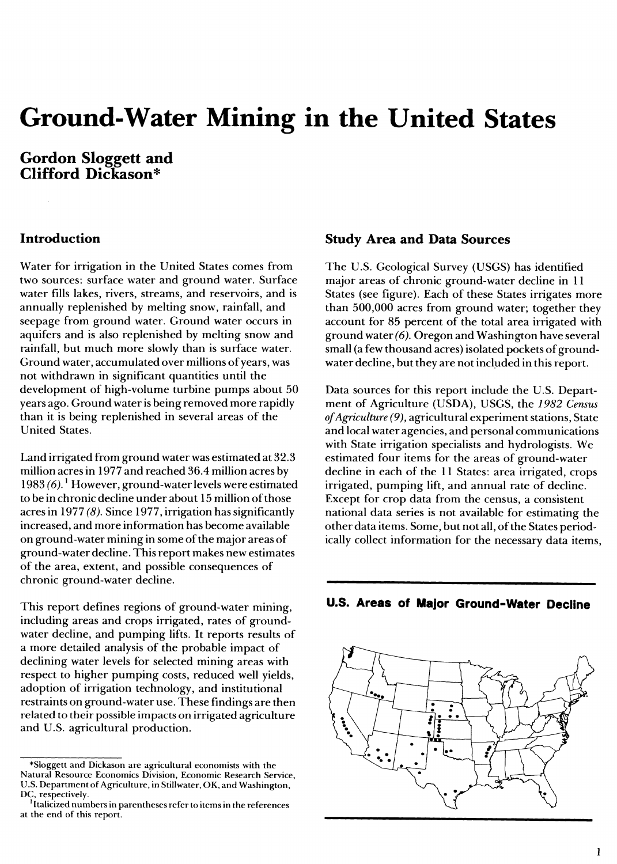# **Ground-Water Mining in the United States**

# **Gordon Sloggett and Clifford Dickason\***

#### **Introduction**

Water for irrigation in the United States comes from two sources: surface water and ground water. Surface water fills lakes, rivers, streams, and reservoirs, and is annually replenished by melting snow, rainfall, and seepage from ground water. Ground water occurs in aquifers and is also replenished by melting snow and rainfall, but much more slowly than is surface water. Ground water, accumulated over millions of years, was not withdrawn in significant quantities until the development of high-volume turbine pumps about 50 years ago. Ground water is being removed more rapidly than it is being replenished in several areas of the United States.

Land irrigated from ground water was estimated at 32.3 million acres in 1977 and reached 36.4 million acres by 1983 *(6). ^* However, ground-water levels were estimated to be in chronic decline under about 15 million ofthose acres in 1977 *(8).* Since 1977, irrigation has significantly increased, and more information has become available on ground-water mining in some of the major areas of ground-water decline. Thisreport makes new estimates of the area, extent, and possible consequences of chronic ground-water decline.

This report defines regions of ground-water mining, including areas and crops irrigated, rates of groundwater decline, and pumping lifts. It reports results of a more detailed analysis of the probable impact of declining water levels for selected mining areas with respect to higher pumping costs, reduced well yields, adoption of irrigation technology, and institutional restraints on ground-water use. These findings are then related to their possible impacts on irrigated agriculture and U.S. agricultural production.

#### **Study Area and Data Sources**

The U.S. Geological Survey (USGS) has identified major areas of chronic ground-water decline in 11 States (see figure). Each of these States irrigates more than 500,000 acres from ground water; together they account for 85 percent of the total area irrigated with ground water *(6).* Oregon and Washington have several small (a few thousand acres) isolated pockets of groundwater decline, but they are not included in this report.

Data sources for this report include the U.S. Department of Agriculture (USDA), USGS, the *1982 Census ofAgriculture (9),* agricultural experiment stations, State and local water agencies, and personal communications with State irrigation specialists and hydrologists. We estimated four items for the areas of ground-water decline in each of the 11 States: area irrigated, crops irrigated, pumping lift, and annual rate of decline. Except for crop data from the census, a consistent national data series is not available for estimating the other data items. Some, but not all, of the States periodically collect information for the necessary data items.





<sup>\*</sup>Sloggett and Dickason are agricultural economists with the Natural Resource Economics Division, Economic Research Service, U.S. Department of Agriculture, in Stillwater, OK, and Washington, DC, respectively.

 $^{\rm I}$ Italicized numbers in parentheses refer to items in the references at the end of this report.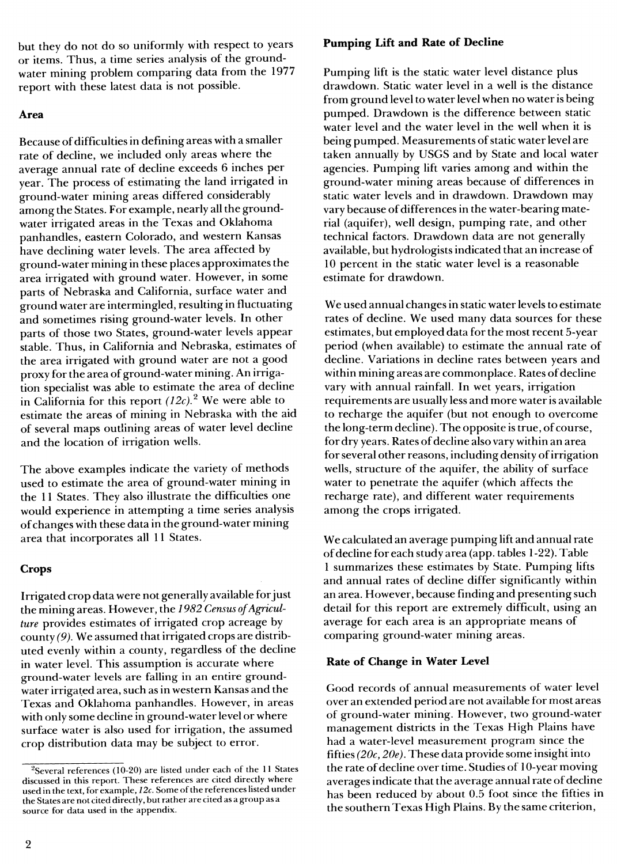but they do not do so uniformly with respect to years or items. Thus, a time series analysis of the groundwater mining problem comparing data from the 1977 report with these latest data is not possible.

#### **Area**

Because of difficulties in defining areas with a smaller rate of decline, we included only areas where the average annual rate of decline exceeds 6 inches per year. The process of estimating the land irrigated in ground-water mining areas differed considerably among the States. For example, nearly all the groundwater irrigated areas in the Texas and Oklahoma panhandles, eastern Colorado, and western Kansas have declining water levels. The area affected by ground-water mining in these places approximatesthe area irrigated with ground water. However, in some parts of Nebraska and California, surface water and ground water are intermingled, resulting in fluctuating and sometimes rising ground-water levels. In other parts of those two States, ground-water levels appear stable. Thus, in California and Nebraska, estimates of the area irrigated with ground water are not a good proxy for the area of ground-water mining. An irrigation specialist was able to estimate the area of decline in California for this report *(12c)}* We were able to estimate the areas of mining in Nebraska with the aid of several maps outlining areas of water level decline and the location of irrigation wells.

The above examples indicate the variety of methods used to estimate the area of ground-water mining in the 11 States. They also illustrate the difficulties one would experience in attempting a time series analysis ofchanges with these data in the ground-water mining area that incorporates all 11 States.

#### **Crops**

Irrigated crop data were not generally available forjust the mining areas. However, the 1982 Census of Agricul*ture* provides estimates of irrigated crop acreage by county (9). We assumed that irrigated crops are distributed evenly within a county, regardless of the decline in water level. This assumption is accurate where ground-water levels are falling in an entire groundwater irrigated area, such as in western Kansas and the Texas and Oklahoma panhandles. However, in areas with only some decline in ground-water level or where surface water is also used for irrigation, the assumed crop distribution data may be subject to error.

#### **Pumping Lift and Rate of Decline**

Pumping lift is the static water level distance plus drawdown. Static water level in a well is the distance from ground level to water level when no water is being pumped. Drawdown is the difference between static water level and the water level in the well when it is being pumped. Measurements of static water level are taken annually by USGS and by State and local water agencies. Pumping lift varies among and within the ground-water mining areas because of differences in static water levels and in drawdown. Drawdown may vary because of differences in the water-bearing material (aquifer), well design, pumping rate, and other technical factors. Drawdown data are not generally available, but hydrologists indicated that an increase of 10 percent in the static water level is a reasonable estimate for drawdown.

We used annual changes in static water levels to estimate rates of decline. We used many data sources for these estimates, but employed data for the most recent 5-year period (when available) to estimate the annual rate of decline. Variations in decline rates between years and within mining areas are commonplace. Rates of decline vary with annual rainfall. In wet years, irrigation requirements are usually less and more water is available to recharge the aquifer (but not enough to overcome the long-term decline). The opposite is true, of course, for dry years. Rates of decline also vary within an area for several other reasons, including density of irrigation wells, structure of the aquifer, the ability of surface water to penetrate the aquifer (which affects the recharge rate), and different water requirements among the crops irrigated.

We calculated an average pumping lift and annual rate ofdecline for each study area (app. tables 1-22). Table <sup>1</sup> summarizes these estimates by State. Pumping lifts and annual rates of decline differ significantly within an area. However, because finding and presenting such detail for this report are extremely difficult, using an average for each area is an appropriate means of comparing ground-water mining areas.

#### **Rate of Change in Water Level**

Good records of annual measurements of water level over an extended period are not available for most areas of ground-water mining. However, two ground-water management districts in the Texas High Plains have had a water-level measurement program since the fifties *(20c, 20e).* These data provide some insight into the rate of decline over time. Studies of 10-year moving averages indicate that the average annual rate of decline has been reduced by about 0.5 foot since the fifties in the southern Texas High Plains. By the same criterion.

 $2$ Several references (10-20) are listed under each of the 11 States discussed in this report. These references are cited direcdy where used in the text, for example, 12c. Some of the references listed under the States are not cited direcdy, but rather are cited as a group as a source for data used in the appendix.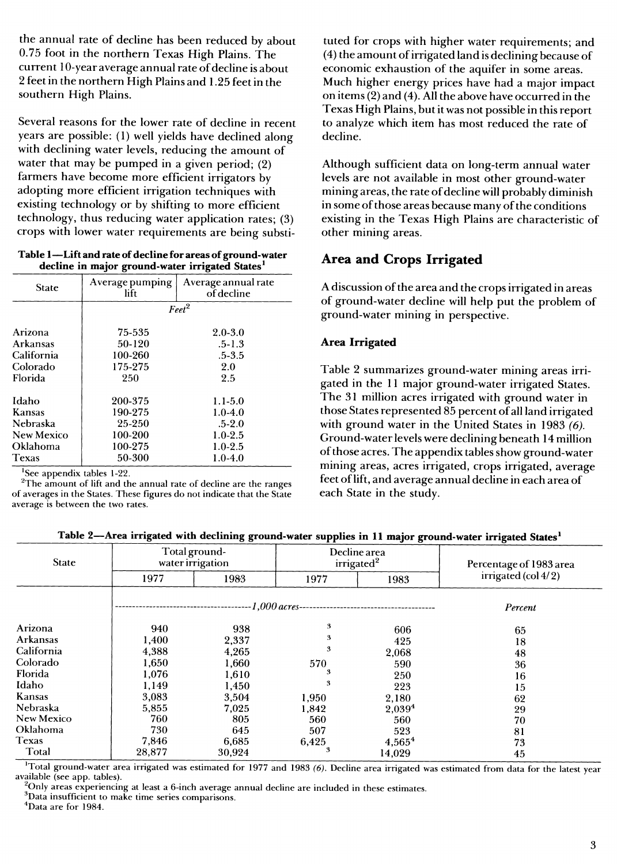the annual rate of decline has been reduced by about 0.75 foot in the northern Texas High Plains. The current 10-year average annual rate of decline is about 2 feetin the northern High Plains and 1.25 feet in the southern High Plains.

Several reasons for the lower rate of decline in recent years are possible: (1) well yields have declined along with declining water levels, reducing the amount of water that may be pumped in a given period; (2) farmers have become more efficient irrigators by adopting more efficient irrigation techniques with existing technology or by shifting to more efficient technology, thus reducing water application rates; (3) crops with lower water requirements are being substi-

#### **Table 1—Lift and rate ofdecline for areas of ground-water decline in major ground-water irrigated States^**

| <b>State</b>      | Average pumping<br>lift | Average annual rate<br>of decline |
|-------------------|-------------------------|-----------------------------------|
|                   |                         | Feet <sup>2</sup>                 |
| Arizona           | 75-535                  | $2.0 - 3.0$                       |
| Arkansas          | 50-120                  | $.5 - 1.3$                        |
| California        | 100-260                 | $.5 - 3.5$                        |
| Colorado          | 175-275                 | 2.0                               |
| Florida           | 250                     | 2.5                               |
| Idaho             | 200-375                 | $1.1 - 5.0$                       |
| Kansas            | 190-275                 | $1.0 - 4.0$                       |
| Nebraska          | 25-250                  | $.5 - 2.0$                        |
| <b>New Mexico</b> | 100-200                 | $1.0 - 2.5$                       |
| Oklahoma          | 100-275                 | $1.0 - 2.5$                       |
| <b>Texas</b>      | 50-300                  | $1.0 - 4.0$                       |

'See appendix tables 1-22.

<sup>2</sup>The amount of lift and the annual rate of decline are the ranges of averages in the States. These figures do not indicate that the State average is between the two rates.

tuted for crops with higher water requirements; and  $(4)$  the amount of irrigated land is declining because of economic exhaustion of the aquifer in some areas. Much higher energy prices have had a major impact on items (2) and (4). All the above have occurred in the Texas High Plains, butit was not possible in this report to analyze which item has most reduced the rate of decline.

Although sufficient data on long-term annual water levels are not available in most other ground-water mining areas, the rate of decline will probably diminish in some of those areas because many of the conditions existing in the Texas High Plains are characteristic of other mining areas.

# **Area and Crops Irrigated**

A discussion of the area and the crops irrigated in areas of ground-water decline will help put the problem of ground-water mining in perspective.

## **Area Irrigated**

Table 2 summarizes ground-water mining areas irrigated in the 11 major ground-water irrigated States. The 31 million acres irrigated with ground water in those States represented 85 percent of all land irrigated with ground water in the United States in 1983 *(6).* Ground-water levels were declining beneath 14 million ofthose acres. The appendix tables show ground-water mining areas, acres irrigated, crops irrigated, average feet oflift, and average annual decline in each area of each State in the study.

| Table 2-Area irrigated with declining ground-water supplies in 11 major ground-water irrigated States <sup>1</sup> |  |  |  |  |
|--------------------------------------------------------------------------------------------------------------------|--|--|--|--|
|--------------------------------------------------------------------------------------------------------------------|--|--|--|--|

|                   |        | --                                | . .     | v<br>$\bullet$                         |                         |
|-------------------|--------|-----------------------------------|---------|----------------------------------------|-------------------------|
| <b>State</b>      |        | Total ground-<br>water irrigation |         | Decline area<br>irrigated <sup>2</sup> | Percentage of 1983 area |
|                   | 1977   | 1983                              | 1977    | 1983                                   | irrigated (col $4/2$ )  |
|                   |        | $-1,000 \, \textit{acres}$        | Percent |                                        |                         |
| Arizona           | 940    | 938                               | 3       | 606                                    | 65                      |
| <b>Arkansas</b>   | 1,400  | 2,337                             | 3       | 425                                    | 18                      |
| California        | 4,388  | 4,265                             | 3       | 2,068                                  | 48                      |
| Colorado          | 1.650  | 1,660                             | 570     | 590                                    | 36                      |
| Florida           | 1,076  | 1,610                             |         | 250                                    | 16                      |
| Idaho             | 1,149  | 1,450                             |         | 223                                    | 15                      |
| Kansas            | 3,083  | 3,504                             | 1,950   | 2,180                                  | 62                      |
| Nebraska          | 5,855  | 7,025                             | 1.842   | 2,039 <sup>4</sup>                     | 29                      |
| <b>New Mexico</b> | 760    | 805                               | 560     | 560                                    | 70                      |
| Oklahoma          | 730    | 645                               | 507     | 523                                    | 81                      |
| <b>Texas</b>      | 7,846  | 6.685                             | 6,425   | $4,565^4$                              | 73                      |
| Total             | 28,877 | 30,924                            |         | 14.029                                 | 45                      |

Total ground-water area irrigated was estimated for 1977 and 1983 *(6).* Decline area irrigated was estimated from data for the latest year available (see app. tables).

 $^{2}$ Only areas experiencing at least a 6-inch average annual decline are included in these estimates.

 ${}^{3}$ Data insufficient to make time series comparisons.

^Data are for 1984.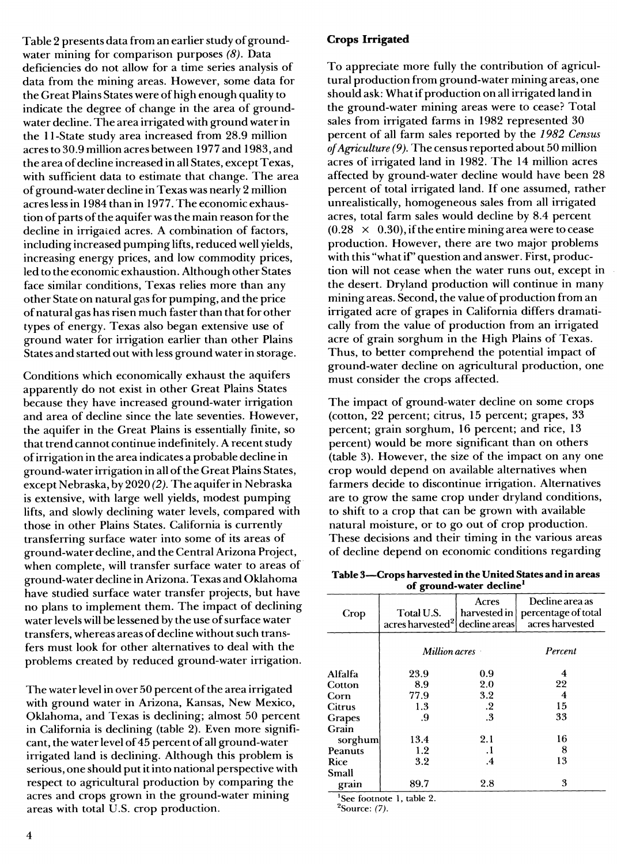Table 2 presents data from an earlier study of groundwater mining for comparison purposes *(8).* Data deficiencies do not allow for a time series analysis of data from the mining areas. However, some data for the Great Plains States were of high enough quality to indicate the degree of change in the area of groundwater decline. The area irrigated with ground water in the 11-State study area increased from 28.9 million acres to 30.9 million acres between 1977 and 1983, and the area of decline increased in all States, except Texas, with sufficient data to estimate that change. The area of ground-water decline in Texas was nearly 2 million acres less in 1984 than in 1977. The economic exhaustion of parts of the aquifer was the main reason for the decline in irrigated acres. A combination of factors, including increased pumping lifts, reduced well yields, increasing energy prices, and low commodity prices, led to the economic exhaustion. Although other States face similar conditions, Texas relies more than any other State on natural gas for pumping, and the price ofnatural gas has risen much faster than that for other types of energy. Texas also began extensive use of ground water for irrigation earlier than other Plains States and started out with less ground water in storage.

Conditions which economically exhaust the aquifers apparently do not exist in other Great Plains States because they have increased ground-water irrigation and area of decline since the late seventies. However, the aquifer in the Great Plains is essentially finite, so that trend cannot continue indefinitely. A recent study ofirrigation in the area indicates a probable decline in ground-water irrigation in all ofthe Great Plains States, except Nebraska, by 2020 *(2).* The aquifer in Nebraska is extensive, with large well yields, modest pumping lifts, and slowly declining water levels, compared with those in other Plains States. California is currently transferring surface water into some of its areas of ground-water decline, and the Central Arizona Project, when complete, will transfer surface water to areas of ground-water decline in Arizona. Texas and Oklahoma have studied surface water transfer projects, but have no plans to implement them. The impact of declining water levels will be lessened by the use of surface water transfers, whereas areas of decline without such transfers must look for other alternatives to deal with the problems created by reduced ground-water irrigation.

The water level in over 50 percent of the area irrigated with ground water in Arizona, Kansas, New Mexico, Oklahoma, and Texas is declining; almost 50 percent in California is declining (table 2). Even more significant, the water level of45 percent of all ground-water irrigated land is declining. Although this problem is serious, one should put it into national perspective with respect to agricultural production by comparing the acres and crops grown in the ground-water mining areas with total U.S. crop production.

To appreciate more fully the contribution of agricultural production from ground-water mining areas, one should ask: What if production on all irrigated land in the ground-water mining areas were to cease? Total sales from irrigated farms in 1982 represented 30 percent of all farm sales reported by the *1982 Census ofAgriculture (9).* The census reported about 50 million acres of irrigated land in 1982. The 14 million acres affected by ground-water decline would have been 28 percent of total irrigated land. If one assumed, rather unrealistically, homogeneous sales from all irrigated acres, total farm sales would decline by 8.4 percent  $(0.28 \times 0.30)$ , if the entire mining area were to cease production. However, there are two major problems with this "what if" question and answer. First, production will not cease when the water runs out, except in the desert. Dryland production will continue in many mining areas. Second, the value of production from an irrigated acre of grapes in California differs dramatically from the value of production from an irrigated acre of grain sorghum in the High Plains of Texas. Thus, to better comprehend the potential impact of ground-water decline on agricultural production, one must consider the crops affected.

The impact of ground-water decline on some crops (cotton, 22 percent; citrus, 15 percent; grapes, 33 percent; grain sorghum, 16 percent; and rice, 13 percent) would be more significant than on others (table 3). However, the size of the impact on any one crop would depend on available alternatives when farmers decide to discontinue irrigation. Alternatives are to grow the same crop under dryland conditions, to shift to a crop that can be grown with available natural moisture, or to go out of crop production. These decisions and their timing in the various areas of decline depend on economic conditions regarding

**Table 3—Crops harvested in the United States and in areas of ground-water decline\***

| Crop    | Total U.S.<br>acres harvested <sup>2</sup> decline areas | Decline area as<br>percentage of total<br>harvested in<br>acres harvested |                         |  |  |
|---------|----------------------------------------------------------|---------------------------------------------------------------------------|-------------------------|--|--|
|         | Million acres                                            |                                                                           | Percent                 |  |  |
| Alfalfa | 23.9                                                     | 0.9                                                                       | 4                       |  |  |
| Cotton  | 8.9                                                      | 2.0                                                                       | 22                      |  |  |
| Corn    | 77.9                                                     | 3.2                                                                       | $\overline{\mathbf{4}}$ |  |  |
| Citrus  | 1.3                                                      | $\cdot$                                                                   | 15                      |  |  |
| Grapes  | .9                                                       | .3                                                                        | 33                      |  |  |
| Grain   |                                                          |                                                                           |                         |  |  |
| sorghum | 13.4                                                     | 2.1                                                                       | 16                      |  |  |
| Peanuts | 1.2                                                      | .1                                                                        | 8                       |  |  |
| Rice    | 3.2                                                      | .4                                                                        | 13                      |  |  |
| Small   |                                                          |                                                                           |                         |  |  |
| grain   | 89.7                                                     | 2.8                                                                       | 3                       |  |  |
|         | <sup>1</sup> See footnote 1 table 9                      |                                                                           |                         |  |  |

See footnote 1, table 2.

^Source: *(7).*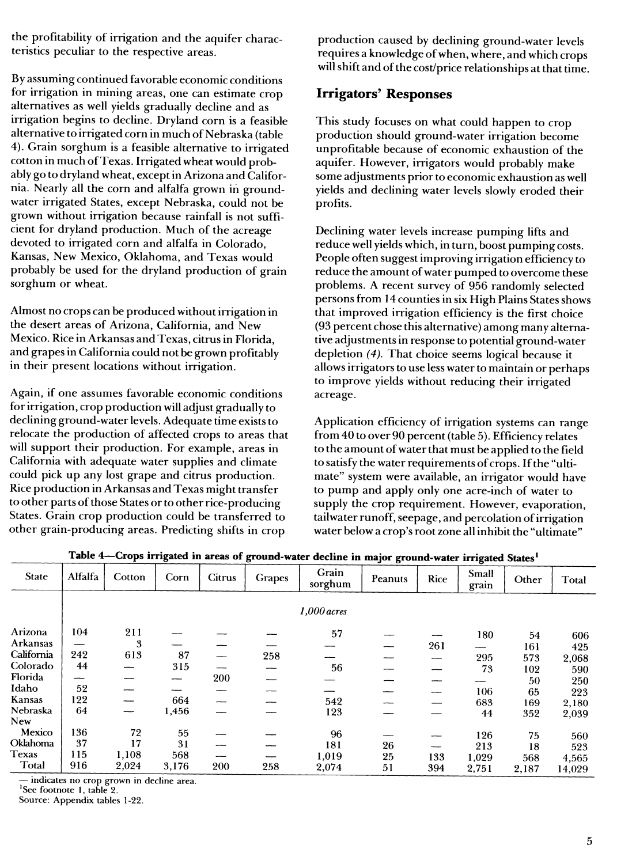the profitability of irrigation and the aquifer characteristics peculiar to the respective areas.

By assuming continued favorable economic conditions for irrigation in mining areas, one can estimate crop alternatives as well yields gradually decline and as irrigation begins to decline. Dryland corn is a feasible alternative to irrigated corn in much of Nebraska (table 4). Grain sorghum is a feasible alternative to irrigated cotton in much of Texas. Irrigated wheat would probably go to dryland wheat, except in Arizona and California. Nearly all the corn and alfalfa grown in groundwater irrigated States, except Nebraska, could not be grown without irrigation because rainfall is not sufficient for dryland production. Much of the acreage devoted to irrigated corn and alfalfa in Colorado, Kansas, New Mexico, Oklahoma, and Texas would probably be used for the dryland production of grain sorghum or wheat.

Almost no crops can be produced without irrigation in the desert areas of Arizona, California, and New Mexico. Rice in Arkansas and Texas, citrus in Florida, and grapes in California could not be grown profitably in their present locations without irrigation.

Again, if one assumes favorable economic conditions for irrigation, crop production will adjust gradually to declining ground-water levels. Adequate time exists to relocate the production of affected crops to areas that will support their production. For example, areas in California with adequate water supplies and climate could pick up any lost grape and citrus production. Rice production in Arkansas and Texas might transfer to other parts of those States or to other rice-producing States. Grain crop production could be transferred to other grain-producing areas. Predicting shifts in crop

production caused by declining ground-water levels requires a knowledge ofwhen, where, and which crops will shift and of the cost/price relationships at that time.

# **Irrigators' Responses**

This study focuses on what could happen to crop production should ground-water irrigation become unprofitable because of economic exhaustion of the aquifer. However, irrigators would probably make some adjustments prior to economic exhaustion as well yields and declining water levels slowly eroded their profits.

Declining water levels increase pumping lifts and reduce well yields which, in turn, boost pumping costs. People often suggest improving irrigation efficiency to reduce the amount of water pumped to overcome these problems. A recent survey of 956 randomly selected persons from 14 counties in six High Plains States shows that improved irrigation efficiency is the first choice (93 percent chose this alternative) among many alternative adjustments in response to potential ground-water depletion *(4).* That choice seems logical because it allows irrigators to use less water to maintain or perhaps to improve yields without reducing their irrigated acreage.

Application efficiency of irrigation systems can range from 40 to over 90 percent (table 5). Efficiency relates to the amount of water that must be applied to the field to satisfy the water requirements of crops. If the "ultimate" system were available, an irrigator would have to pump and apply only one acre-inch of water to supply the crop requirement. However, evaporation, tailwater runoff, seepage, and percolation of irrigation water below a crop's root zone all inhibit the "ultimate"

| <b>State</b>    | Alfalfa | Cotton | Corn              | <b>Citrus</b> | Grapes | Grain<br>sorghum | Peanuts | Rice | Small<br>grain | Other | Total  |
|-----------------|---------|--------|-------------------|---------------|--------|------------------|---------|------|----------------|-------|--------|
|                 |         |        |                   |               |        | $1,000$ acres    |         |      |                |       |        |
| Arizona         | 104     | 211    |                   |               |        | 57               |         |      | 180            | 54    | 606    |
| <b>Arkansas</b> |         | 3      |                   |               |        |                  |         | 261  |                | 161   | 425    |
| California      | 242     | 613    | 87                |               | 258    |                  |         |      | 295            | 573   | 2,068  |
| Colorado        | 44      |        | 315               |               | --     | 56               |         |      | 73             | 102   | 590    |
| Florida         | --      |        | $\hspace{0.05cm}$ | 200           |        |                  |         |      |                | 50    | 250    |
| Idaho           | 52      |        |                   |               |        |                  |         |      | 106            | 65    | 223    |
| Kansas          | 122     |        | 664               |               |        | 542              |         |      | 683            | 169   | 2,180  |
| Nebraska        | 64      |        | 1,456             |               |        | 123              |         |      | 44             | 352   | 2,039  |
| New             |         |        |                   |               |        |                  |         |      |                |       |        |
| Mexico          | 136     | 72     | 55                |               |        | 96               |         |      | 126            | 75    | 560    |
| Oklahoma        | 37      | 17     | 31                |               |        | 181              | 26      | --   | 213            | 18    | 523    |
| <b>Texas</b>    | 115     | 1,108  | 568               |               |        | 1,019            | 25      | 133  | 1,029          | 568   | 4,565  |
| Total           | 916     | 2,024  | 3,176             | 200           | 258    | 2,074            | 51      | 394  | 2,751          | 2,187 | 14.029 |

**Table 4—Crops irrigated in areas of ground-water decline in major ground-water irrigated States^**

— indicates no crop grown in decline area.

'See footnote 1, table 2.

Source: Appendix tables 1-22.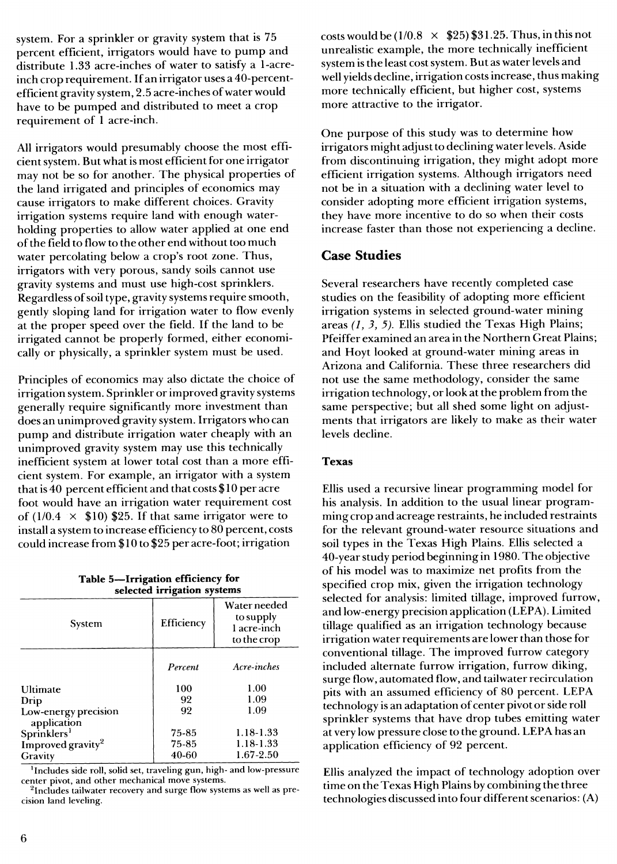system. For a sprinkler or gravity system that is 75 percent efficient, irrigators would have to pump and distribute 1.33 acre-inches of water to satisfy a 1-acreinch crop requirement. If an irrigator uses a 40-percentefficient gravity system, 2.5 acre-inches of water would have to be pumped and distributed to meet a crop requirement of <sup>1</sup> acre-inch.

All irrigators would presumably choose the most efficient system. But what is most efficient for one irrigator may not be so for another. The physical properties of the land irrigated and principles of economics may cause irrigators to make different choices. Gravity irrigation systems require land with enough waterholding properties to allow water applied at one end of the field to flow to the other end without too much water percolating below a crop's root zone. Thus, irrigators with very porous, sandy soils cannot use gravity systems and must use high-cost sprinklers. Regardless of soil type, gravity systems require smooth, gently sloping land for irrigation water to flow evenly at the proper speed over the field. If the land to be irrigated cannot be properly formed, either economically or physically, a sprinkler system must be used.

Principles of economics may also dictate the choice of irrigation system. Sprinkler or improved gravity systems generally require significantly more investment than does an unimproved gravity system. Irrigators who can pump and distribute irrigation water cheaply with an unimproved gravity system may use this technically inefficient system at lower total cost than a more efficient system. For example, an irrigator with a system that is 40 percent efficient and that costs \$10 per acre foot would have an irrigation water requirement cost of (1/0.4  $\times$  \$10) \$25. If that same irrigator were to install a system to increase efficiency to 80 percent, costs could increase from \$10 to \$25 per acre-foot; irrigation

**Table 5—Irrigation efficiency for selected irrigation systems**

| System                              | Efficiency | Water needed<br>to supply<br>1 acre-inch<br>to the crop |
|-------------------------------------|------------|---------------------------------------------------------|
|                                     | Percent    | Acre-inches                                             |
| Ultimate                            | 100        | 1.00                                                    |
| Drip                                | 92         | 1.09                                                    |
| Low-energy precision<br>application | 92         | 1.09                                                    |
| Sprinklers <sup>1</sup>             | 75-85      | 1.18-1.33                                               |
| Improved gravity <sup>2</sup>       | 75-85      | 1.18-1.33                                               |
| Gravity                             | 40-60      | 1.67-2.50                                               |

<sup>1</sup>Includes side roll, solid set, traveling gun, high- and low-pressure center pivot, and other mechanical move systems.

 $\rm{^2}$ Includes tailwater recovery and surge flow systems as well as precision land leveling.

costs would be  $(1/0.8 \times \$25) \$31.25$ . Thus, in this not unrealistic example, the more technically inefficient system is the least cost system. But as water levels and well yields decline, irrigation costs increase, thus making more technically efficient, but higher cost, systems more attractive to the irrigator.

One purpose of this study was to determine how irrigators might adjust to declining water levels. Aside from discontinuing irrigation, they might adopt more efficient irrigation systems. Although irrigators need not be in a situation with a declining water level to consider adopting more efficient irrigation systems, they have more incentive to do so when their costs increase faster than those not experiencing a decline.

## **Case Studies**

Several researchers have recently completed case studies on the feasibility of adopting more efficient irrigation systems in selected ground-water mining areas *(1, 3, 5).* Ellis studied the Texas High Plains; Pfeiffer examined an area in the Northern Great Plains; and Hoyt looked at ground-water mining areas in Arizona and California. These three researchers did not use the same methodology, consider the same irrigation technology, or look atthe problem from the same perspective; but all shed some light on adjustments that irrigators are likely to make as their water levels decline.

#### **Texas**

Ellis used a recursive linear programming model for his analysis. In addition to the usual linear programming crop and acreage restraints, he included restraints for the relevant ground-water resource situations and soil types in the Texas High Plains. Ellis selected a 40-year study period beginning in 1980. The objective of his model was to maximize net profits from the specified crop mix, given the irrigation technology selected for analysis: limited tillage, improved furrow, and low-energy precision application (LEPA). Limited tillage qualified as an irrigation technology because irrigation water requirements are lower than those for conventional tillage. The improved furrow category included alternate furrow irrigation, furrow diking, surge flow, automated flow, and tailwater recirculation pits with an assumed efficiency of 80 percent. LEPA technology is an adaptation of center pivot or side roll sprinkler systems that have drop tubes emitting water at very low pressure close to the ground. LEPA has an application efficiency of 92 percent.

Ellis analyzed the impact of technology adoption over time on the Texas High Plains by combining the three technologies discussed into four different scenarios: (A)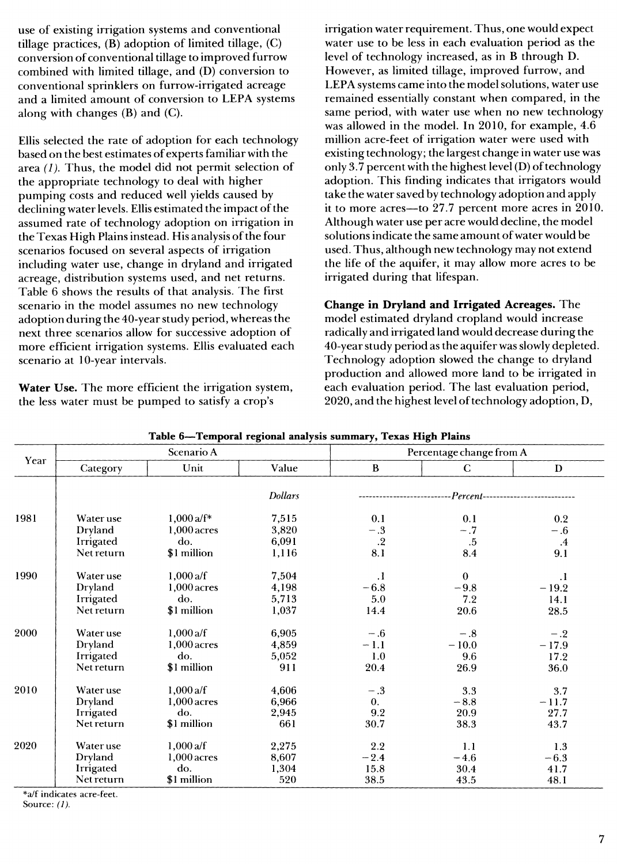use of existing irrigation systems and conventional tillage practices, (B) adoption of limited tillage, (C) conversion of conventional tillage to improved furrow combined with limited tillage, and (D) conversion to conventional sprinklers on furrow-irrigated acreage and a limited amount of conversion to LEPA systems along with changes (B) and (C).

Ellis selected the rate of adoption for each technology based on the best estimates of experts familiar with the area *(1).* Thus, the model did not permit selection of the appropriate technology to deal with higher pumping costs and reduced well yields caused by declining water levels. Ellis estimated the impact of the assumed rate of technology adoption on irrigation in the Texas High Plains instead. His analysis of the four scenarios focused on several aspects of irrigation including water use, change in dryland and irrigated acreage, distribution systems used, and net returns. Table 6 shows the results of that analysis. The first scenario in the model assumes no new technology adoption during the 40-year study period, whereas the next three scenarios allow for successive adoption of more efficient irrigation systems. Ellis evaluated each scenario at 10-year intervals.

**Water Use.** The more efficient the irrigation system, the less water must be pumped to satisfy a crop's

irrigation water requirement. Thus, one would expect water use to be less in each evaluation period as the level of technology increased, as in B through D. However, as limited tillage, improved furrow, and LEPA systems came into the model solutions, water use remained essentially constant when compared, in the same period, with water use when no new technology was allowed in the model. In 2010, for example, 4.6 million acre-feet of irrigation water were used with existing technology; the largest change in water use was only  $3.7$  percent with the highest level (D) of technology adoption. This finding indicates that irrigators would take the water saved by technology adoption and apply it to more acres—to 27.7 percent more acres in 2010. Although water use per acre would decline, the model solutions indicate the same amount of water would be used. Thus, although new technology may not extend the life of the aquifer, it may allow more acres to be irrigated during that lifespan.

**Change in Dryland and Irrigated Acreages.** The model estimated dryland cropland would increase radically and irrigated land would decrease during the 40-year study period as the aquifer was slowly depleted. Technology adoption slowed the change to dryland production and allowed more land to be irrigated in each evaluation period. The last evaluation period, 2020, and the highest level of technology adoption, D,

| Year |            | Scenario A    |                | Percentage change from A |                 |                                      |  |  |  |
|------|------------|---------------|----------------|--------------------------|-----------------|--------------------------------------|--|--|--|
|      | Category   | Unit          | Value          | $\bf{B}$                 | C.              | D                                    |  |  |  |
|      |            |               | <b>Dollars</b> |                          |                 | -Percent---------------------------- |  |  |  |
| 1981 | Water use  | $1,000a/f^*$  | 7,515          | 0.1                      | 0.1             | 0.2                                  |  |  |  |
|      | Dryland    | $1,000$ acres | 3,820          | $-.3$                    | $-.7$           | $-.6$                                |  |  |  |
|      | Irrigated  | do.           | 6,091          | $.2\,$                   | $.5\phantom{0}$ | $\cdot$ 4                            |  |  |  |
|      | Net return | \$1 million   | 1,116          | 8.1                      | 8.4             | 9.1                                  |  |  |  |
| 1990 | Water use  | 1,000 $a/f$   | 7,504          | $\cdot$                  | $\bf{0}$        | $\cdot$                              |  |  |  |
|      | Dryland    | $1,000$ acres | 4,198          | $-6.8$                   | $-9.8$          | $-19.2$                              |  |  |  |
|      | Irrigated  | do.           | 5,713          | 5.0                      | 7.2             | 14.1                                 |  |  |  |
|      | Net return | \$1 million   | 1,037          | 14.4                     | $20.6\,$        | 28.5                                 |  |  |  |
| 2000 | Water use  | 1,000a/f      | 6,905          | $-.6$                    | $-.8$           | $-.2$                                |  |  |  |
|      | Dryland    | $1,000$ acres | 4,859          | $-1.1$                   | $-10.0$         | $-17.9$                              |  |  |  |
|      | Irrigated  | do.           | 5,052          | 1.0                      | 9.6             | 17.2                                 |  |  |  |
|      | Net return | \$1 million   | 911            | 20.4                     | 26.9            | 36.0                                 |  |  |  |
| 2010 | Water use  | 1,000a/f      | 4,606          | $-.3$                    | 3.3             | 3.7                                  |  |  |  |
|      | Dryland    | 1,000 acres   | 6,966          | $\mathbf{0}$ .           | $-8.8$          | $-11.7$                              |  |  |  |
|      | Irrigated  | do.           | 2,945          | 9.2                      | 20.9            | 27.7                                 |  |  |  |
|      | Net return | \$1 million   | 661            | 30.7                     | 38.3            | 43.7                                 |  |  |  |
| 2020 | Water use  | 1,000a/f      | 2,275          | 2.2                      | 1.1             | 1.3                                  |  |  |  |
|      | Dryland    | $1,000$ acres | 8,607          | $-2.4$                   | $-4.6$          | $-6.3$                               |  |  |  |
|      | Irrigated  | do.           | 1,304          | 15.8                     | 30.4            | 41.7                                 |  |  |  |
|      | Net return | \$1 million   | 520            | 38.5                     | 43.5            | 48.1                                 |  |  |  |

**Table 6—Temporal regional analysis summary, Texas High Plains**

\*a/f indicates acre-feet. Source: *(1).*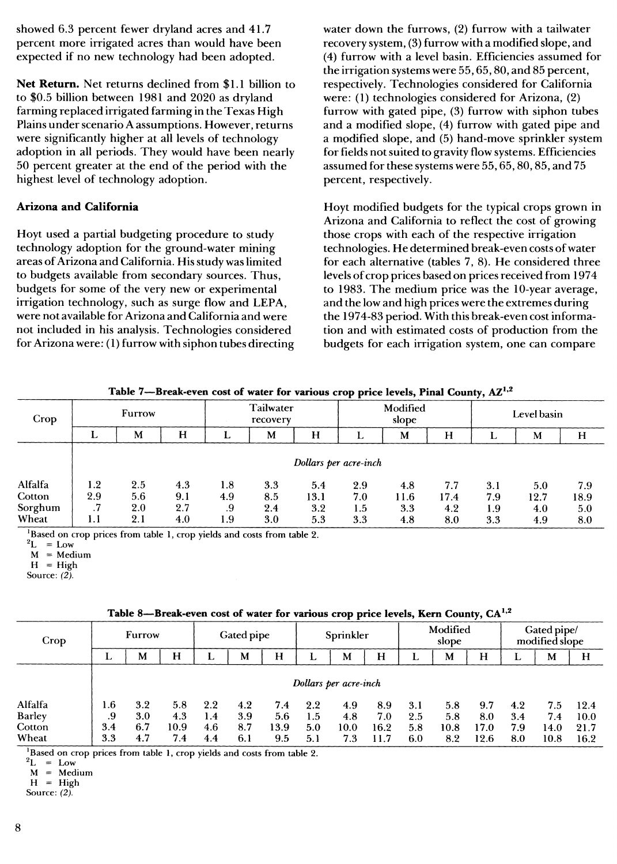showed 6.3 percent fewer dryland acres and 41.7 percent more irrigated acres than would have been expected if no new technology had been adopted.

**Net Return.** Net returns declined from \$1.1 billion to to \$0.5 billion between 1981 and 2020 as dryland farming replaced irrigated farming in the Texas High Plains under scenario A assumptions. However, returns were significantly higher at all levels of technology adoption in all periods. They would have been nearly 50 percent greater at the end of the period with the highest level of technology adoption.

#### **Arizona and California**

Hoyt used a partial budgeting procedure to study technology adoption for the ground-water mining areas of Arizona and California. His study was limited to budgets available from secondary sources. Thus, budgets for some of the very new or experimental irrigation technology, such as surge flow and LEPA, were not available for Arizona and California and were not included in his analysis. Technologies considered for Arizona were: (1) furrow with siphon tubes directing water down the furrows, (2) furrow with a tailwater recovery system, (3) furrow with a modified slope, and (4) furrow with a level basin. Efficiencies assumed for the irrigation systems were 55,65,80, and 85 percent, respectively. Technologies considered for California were: (1) technologies considered for Arizona, (2) furrow with gated pipe, (3) furrow with siphon tubes and a modified slope, (4) furrow with gated pipe and a mpdified slope, and (5) hand-move sprinkler system for fields notsuited to gravity flow systems. Efficiencies assumed for these systems were 55,65,80,85, and 75 percent, respectively.

Hoyt modified budgets for the typical crops grown in Arizona and California to reflect the cost of growing those crops with each of the respective irrigation technologies. He determined break-even costs of water for each alternative (tables 7, 8). He considered three levels of crop prices based on prices received from 1974 to 1983. The medium price was the 10-year average, and the low and high prices were the extremes during the 1974-83 period. With this break-even cost information and with estimated costs of production from the budgets for each irrigation system, one can compare

|         |                       |     |     |                       |     |      | . .               |      |      | $\cdot$     |      |      |
|---------|-----------------------|-----|-----|-----------------------|-----|------|-------------------|------|------|-------------|------|------|
| Crop    | <b>Furrow</b>         |     |     | Tailwater<br>recovery |     |      | Modified<br>slope |      |      | Level basin |      |      |
|         |                       | M   | H   |                       | M   | H    |                   | M    | Н    |             | M    | H    |
|         | Dollars per acre-inch |     |     |                       |     |      |                   |      |      |             |      |      |
| Alfalfa | 1.2                   | 2.5 | 4.3 | 1.8                   | 3.3 | 5.4  | 2.9               | 4.8  | 7.7  | 3.1         | 5.0  | 7.9  |
| Cotton  | 2.9                   | 5.6 | 9.1 | 4.9                   | 8.5 | 13.1 | 7.0               | 11.6 | 17.4 | 7.9         | 12.7 | 18.9 |
| Sorghum | .7                    | 2.0 | 2.7 | .9                    | 2.4 | 3.2  | 1.5               | 3.3  | 4.2  | 1.9         | 4.0  | 5.0  |
| Wheat   | 1.1                   | 2.1 | 4.0 | 1.9                   | 3.0 | 5.3  | 3.3               | 4.8  | 8.0  | 3.3         | 4.9  | 8.0  |

**Table 7—Break-even cost of water for various crop price levels, Final County, AZ\***

<sup>1</sup>Based on crop prices from table 1, crop yields and costs from table 2.

 $H = High$ 

Source: *(2).*

| Crop          | Furrow |                       |      | Gated pipe |     | Sprinkler |     | Modified<br>slope |      |     | Gated pipe/<br>modified slope |      |     |      |      |
|---------------|--------|-----------------------|------|------------|-----|-----------|-----|-------------------|------|-----|-------------------------------|------|-----|------|------|
|               |        | M                     | H    |            | M   | H         | ┻   | М                 | H    |     | M                             | H    | u   | M    | H    |
|               |        | Dollars per acre-inch |      |            |     |           |     |                   |      |     |                               |      |     |      |      |
| Alfalfa       | 1.6    | 3.2                   | 5.8  | 2.2        | 4.2 | 7.4       | 2.2 | 4.9               | 8.9  | 3.1 | 5.8                           | 9.7  | 4.2 | 75   | 12.4 |
| <b>Barley</b> | .9     | 3.0                   | 4.3  | 1.4        | 3.9 | 5.6       | 1.5 | 4.8               | 7.0  | 2.5 | 5.8                           | 8.0  | 3.4 | 7.4  | 10.0 |
| Cotton        | 3.4    | 6.7                   | 10.9 | 4.6        | 8.7 | 13.9      | 5.0 | 10.0              | 16.2 | 5.8 | 10.8                          | 17.0 | 7.9 | 14.0 | 21.7 |
| Wheat         | 3.3    | 4.7                   | 7.4  | 4.4        | 6.1 | 9.5       | 5.1 | 7.3               | 11.7 | 6.0 | 8.2                           | 12.6 | 8.0 | 10.8 | 16.2 |

| Table 8—Break-even cost of water for various crop price levels, Kern County, $\mathrm{CA}^{1,2}$ |  |  |  |  |
|--------------------------------------------------------------------------------------------------|--|--|--|--|
|                                                                                                  |  |  |  |  |

<sup>1</sup>Based on crop prices from table 1, crop yields and costs from table 2.

 $^2$ L = Low<br>M = Med

= Medium

 $H = High$ 

Source: *(2).*

 $^2$ L = Low

M = Medium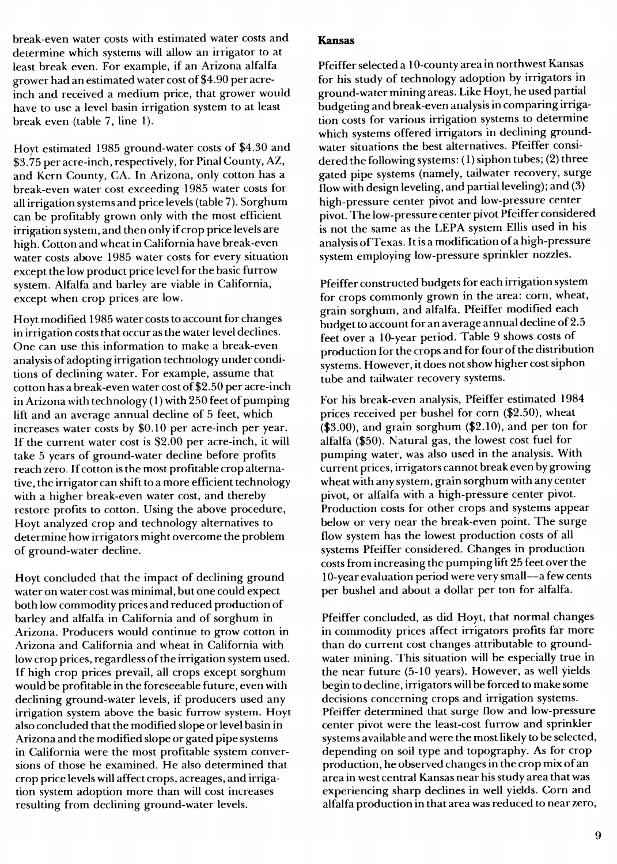break-even water costs with estimated water costs and determine which systems will allow an irrigator to at least break even. For example, if an Arizona alfalfa grower had an estimated water cost of \$4.90 per acreinch and received a medium price, that grower would have to use a level basin irrigation system to at least break even (table 7, line 1).

Hoyt estimated 1985 ground-water costs of \$4.30 and \$3.75 per acre-inch, respectively, for Final County, AZ, and Kern County, CA. In Arizona, only cotton has a break-even water cost exceeding 1985 water costs for all irrigation systems and price levels (table 7). Sorghum can be profitably grown only with the most efficient irrigation system, and then only if crop price levels are high. Cotton and wheat in California have break-even water costs above 1985 water costs for every situation except the low product price level for the basic furrow system. Alfalfa and barley are viable in California, except when crop prices are low.

Hoyt modified 1985 water costs to account for changes in irrigation costs that occur as the water level declines. One can use this information to make a break-even analysis of adopting irrigation technology under conditions of declining water. For example, assume that cotton has a break-even water cost of \$2.50 per acre-inch in Arizona with technology  $(1)$  with 250 feet of pumping lift and an average annual decline of 5 feet, which increases water costs by \$0.10 per acre-inch per year. If the current water cost is \$2.00 per acre-inch, it will take 5 years of ground-water decline before profits reach zero. If cotton is the most profitable crop alternative, the irrigator can shift to a more efficient technology with a higher break-even water cost, and thereby restore profits to cotton. Using the above procedure, Hoyt analyzed crop and technology alternatives to determine how irrigators might overcome the problem of ground-water decline.

Hoyt concluded that the impact of declining ground water on water cost was minimal, but one could expect both low commodity prices and reduced production of barley and alfalfa in California and of sorghum in Arizona. Producers would continue to grow cotton in Arizona and California and wheat in California with low crop prices, regardless of the irrigation system used. If high crop prices prevail, all crops except sorghum would be profitable in the foreseeable future, even with declining ground-water levels, if producers used any irrigation system above the basic furrow system. Hoyt also concluded that the modified slope or level basin in Arizona and the modified slope or gated pipe systems in California were the most profitable system conversions of those he examined. He also determined that crop price levels will affect crops, acreages, and irrigation system adoption more than will cost increases resulting from declining ground-water levels.

#### **Kansas**

Pfeiffer selected a 10-county area in northwest Kansas for his study of technology adoption by irrigators in ground-water mining areas. Like Hoyt, he used partial budgeting and break-even analysis in comparing irrigation costs for various irrigation systems to determine which systems offered irrigators in declining groundwater situations the best alternatives. Pfeiffer considered the following systems: (1) siphon tubes; (2) three gated pipe systems (namely, tailwater recovery, surge flow with design leveling, and partial leveling); and (3) high-pressure center pivot and low-pressure center pivot. The low-pressure center pivot Pfeiffer considered is not the same as the LEPA system Ellis used in his analysis ofTexas. Itis a modification of a high-pressure system employing low-pressure sprinkler nozzles.

Pfeiffer constructed budgets for each irrigation system for crops commonly grown in the area: corn, wheat, grain sorghum, and alfalfa. Pfeiffer modified each budget to account for an average annual decline of 2.5 feet over a 10-year period. Table 9 shows costs of production for the crops and for four of the distribution systems. However, it does not show higher cost siphon tube and tailwater recovery systems.

For his break-even analysis, Pfeiffer estimated 1984 prices received per bushel for corn (\$2.50), wheat (\$3.00), and grain sorghum (\$2.10), and per ton for alfalfa (\$50). Natural gas, the lowest cost fuel for pumping water, was also used in the analysis. With current prices, irrigators cannot break even by growing wheat with any system, grain sorghum with any center pivot, or alfalfa with a high-pressure center pivot. Production costs for other crops and systems appear below or very near the break-even point. The surge flow system has the lowest production costs of all systems Pfeiffer considered. Changes in production costs from increasing the pumping lift 25 feet over the 10-year evaluation period were very small—a few cents per bushel and about a dollar per ton for alfalfa.

Pfeiffer concluded, as did Hoyt, that normal changes in commodity prices affect irrigators profits far more than do current cost changes attributable to groundwater mining. This situation will be especially true in the near future (5-10 years). However, as well yields begin to decline, irrigators will be forced to make some decisions concerning crops and irrigation systems. Pfeiffer determined that surge flow and low-pressure center pivot were the least-cost furrow and sprinkler systems available and were the mostlikely to be selected, depending on soil type and topography. As for crop production, he observed changes in the crop mix of an area in west central Kansas near his study area that was experiencing sharp declines in well yields. Corn and alfalfa production in that area was reduced to near zero,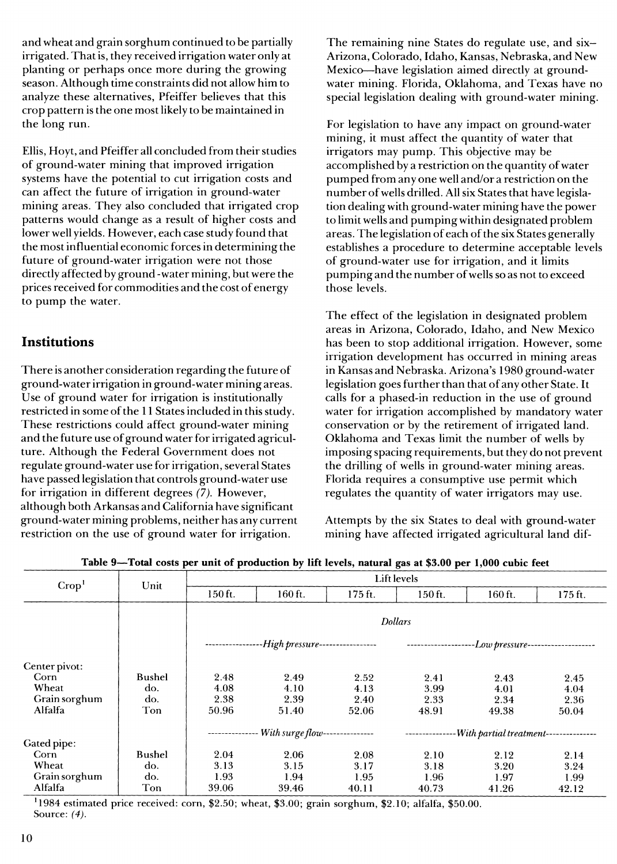and wheat and grain sorghum continued to be partially irrigated. Thatis, they received irrigation water only at planting or perhaps once more during the growing season. Although time constraints did not allow him to analyze these alternatives, Pfeiffer believes that this crop pattern is the one mostlikely to be maintained in the long run.

Ellis, Hoyt, and Pfeiffer all concluded from their studies of ground-water mining that improved irrigation systems have the potential to cut irrigation costs and can affect the future of irrigation in ground-water mining areas. They also concluded that irrigated crop patterns would change as a result of higher costs and lower well yields. However, each case study found that the mostinfluential economic forces in determining the future of ground-water irrigation were not those directly affected by ground -water mining, but were the prices received for commodities and the cost of energy to pump the water.

# **Institutions**

There is another consideration regarding the future of ground-water irrigation in ground-water mining areas. Use of ground water for irrigation is institutionally restricted in some of the 11 States included in this study. These restrictions could affect ground-water mining and the future use ofground water for irrigated agriculture. Although the Federal Government does not regulate ground-water use for irrigation, several States have passed legislation that controls ground-water use for irrigation in different degrees (7). However, although both Arkansas and California have significant ground-water mining problems, neither has any current restriction on the use of ground water for irrigation.

The remaining nine States do regulate use, and six-Arizona, Colorado, Idaho, Kansas, Nebraska, and New Mexico—have legislation aimed directly at groundwater mining. Florida, Oklahoma, and Texas have no special legislation dealing with ground-water mining.

For legislation to have any impact on ground-water mining, it must affect the quantity of water that irrigators may pump. This objective may be accomplished by a restriction on the quantity of water pumped from any one well and/or a restriction on the number of wells drilled. All six States that have legislation dealing with ground-water mining have the power to limit wells and pumping within designated problem areas. The legislation of each of the six States generally establishes a procedure to determine acceptable levels of ground-water use for irrigation, and it limits pumping and the number of wells so as not to exceed those levels.

The effect of the legislation in designated problem areas in Arizona, Colorado, Idaho, and New Mexico has been to stop additional irrigation. However, some irrigation development has occurred in mining areas in Kansas and Nebraska. Arizona's 1980 ground-water legislation goes further than that of any other State. It calls for a phased-in reduction in the use of ground water for irrigation accomplished by mandatory water conservation or by the retirement of irrigated land. Oklahoma and Texas limit the number of wells by imposing spacing requirements, but they do not prevent the drilling of wells in ground-water mining areas. Florida requires a consumptive use permit which regulates the quantity of water irrigators may use.

Attempts by the six States to deal with ground-water mining have affected irrigated agricultural land dif-

| Crop <sup>1</sup> | Unit   |         | Lift levels                                   |         |                  |                                        |         |  |  |  |  |  |
|-------------------|--------|---------|-----------------------------------------------|---------|------------------|----------------------------------------|---------|--|--|--|--|--|
|                   |        | 150 ft. | 160 ft.                                       | 175 ft. | 150 ft.          | 160 ft.                                | 175 ft. |  |  |  |  |  |
|                   |        |         |                                               |         | <b>Dollars</b>   |                                        |         |  |  |  |  |  |
|                   |        |         | -High pressure------------------              |         | ---------------- |                                        |         |  |  |  |  |  |
| Center pivot:     |        |         |                                               |         |                  |                                        |         |  |  |  |  |  |
| Corn              | Bushel | 2.48    | 2.49                                          | 2.52    | 2.41             | 2.43                                   | 2.45    |  |  |  |  |  |
| Wheat             | do.    | 4.08    | 4.10                                          | 4.13    | 3.99             | 4.01                                   | 4.04    |  |  |  |  |  |
| Grain sorghum     | do.    | 2.38    | 2.39                                          | 2.40    | 2.33             | 2.34                                   | 2.36    |  |  |  |  |  |
| Alfalfa           | Ton    | 50.96   | 51.40                                         | 52.06   | 48.91            | 49.38                                  | 50.04   |  |  |  |  |  |
|                   |        |         | -------------- With surge flow--------------- |         | -------------    | -With partial treatment--------------- |         |  |  |  |  |  |
| Gated pipe:       |        |         |                                               |         |                  |                                        |         |  |  |  |  |  |
| Corn              | Bushel | 2.04    | 2.06                                          | 2.08    | 2.10             | 2.12                                   | 2.14    |  |  |  |  |  |
| Wheat             | do.    | 3.13    | 3.15                                          | 3.17    | 3.18             | 3.20                                   | 3.24    |  |  |  |  |  |
| Grain sorghum     | do.    | 1.93    | 1.94                                          | 1.95    | 1.96             | 1.97                                   | 1.99    |  |  |  |  |  |
| Alfalfa           | Ton    | 39.06   | 39.46                                         | 40.11   | 40.73            | 41.26                                  | 42.12   |  |  |  |  |  |

Table 9-Total costs per unit of production by lift levels, natural gas at \$3.00 per 1,000 cubic feet

 $^{1}1984$  estimated price received: corn, \$2.50; wheat, \$3.00; grain sorghum, \$2.10; alfalfa, \$50.00. Source: *(4).*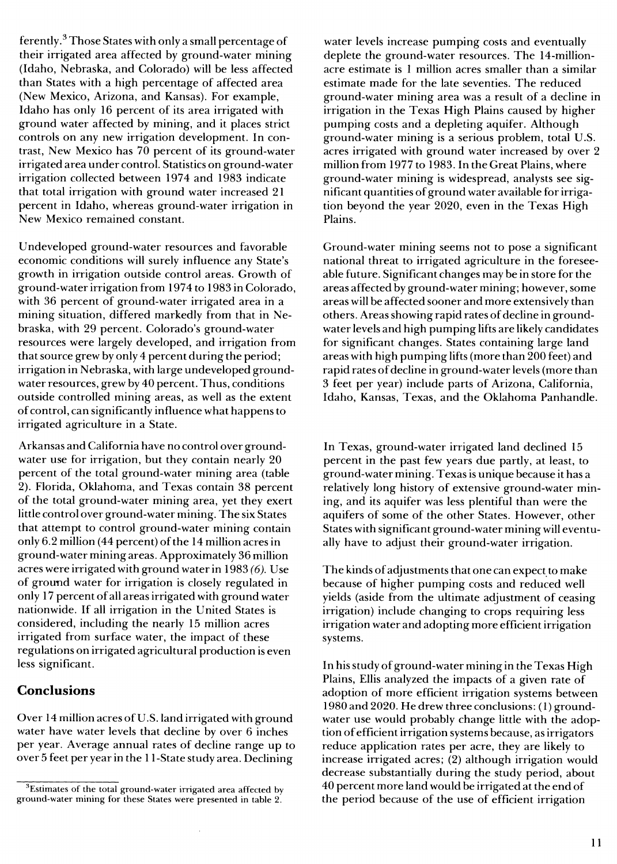ferently. $3$  Those States with only a small percentage of their irrigated area affected by ground-water mining (Idaho, Nebraska, and Colorado) will be less affected than States with a high percentage of affected area (New Mexico, Arizona, and Kansas). For example, Idaho has only 16 percent of its area irrigated with ground water affected by mining, and it places strict controls on any new irrigation development. In contrast, New Mexico has 70 percent of its ground-water irrigated area under control. Statistics on ground-water irrigation collected between 1974 and 1983 indicate that total irrigation with ground water increased 21 percent in Idaho, whereas ground-water irrigation in New Mexico remained constant.

Undeveloped ground-water resources and favorable economic conditions will surely influence any State's growth in irrigation outside control areas. Growth of ground-water irrigation from 1974 to 1983 in Colorado, with 36 percent of ground-water irrigated area in a mining situation, differed markedly from that in Nebraska, with 29 percent. Colorado's ground-water resources were largely developed, and irrigation from that source grew by only 4 percent during the period; irrigation in Nebraska, with large undeveloped groundwater resources, grew by 40 percent. Thus, conditions outside controlled mining areas, as well as the extent of control, can significantly influence what happens to irrigated agriculture in a State.

Arkansas and California have no control over groundwater use for irrigation, but they contain nearly 20 percent of the total ground-water mining area (table 2). Florida, Oklahoma, and Texas contain 38 percent of the total ground-water mining area, yet they exert little control over ground-water mining. The six States that attempt to control ground-water mining contain only  $6.2$  million (44 percent) of the 14 million acres in ground-water mining areas. Approximately 36 million acres were irrigated with ground water in 1983 *(6).* Use of ground water for irrigation is closely regulated in only 17 percent of all areas irrigated with ground water nationwide. If all irrigation in the United States is considered, including the nearly 15 million acres irrigated from surface water, the impact of these regulations on irrigated agricultural production is even less significant.

#### **Conclusions**

Over 14 million acres of U.S. land irrigated with ground water have water levels that decline by over 6 inches per year. Average annual rates of decline range up to over 5 feet per year in the 11 -State study area. Declining

water levels increase pumping costs and eventually deplete the ground-water resources. The 14-millionacre estimate is <sup>1</sup> million acres smaller than a similar estimate made for the late seventies. The reduced ground-water mining area was a result of a decline in irrigation in the Texas High Plains caused by higher pumping costs and a depleting aquifer. Although ground-water mining is a serious problem, total U.S. acres irrigated with ground water increased by over 2 million from 1977 to 1983. In the Great Plains, where ground-water mining is widespread, analysts see significant quantities of ground water available for irrigation beyond the year 2020, even in the Texas High Plains.

Ground-water mining seems not to pose a significant national threat to irrigated agriculture in the foreseeable future. Significant changes may be in store for the areas affected by ground-water mining; however, some areas will be affected sooner and more extensively than others. Areas showing rapid rates of decline in groundwater levels and high pumping lifts are likely candidates for significant changes. States containing large land areas with high pumping lifts (more than 200 feet) and rapid rates of decline in ground-water levels (more than 3 feet per year) include parts of Arizona, California, Idaho, Kansas, Texas, and the Oklahoma Panhandle.

In Texas, ground-water irrigated land declined 15 percent in the past few years due partly, at least, to ground-water mining. Texas is unique because it has a relatively long history of extensive ground-water mining, and its aquifer was less plentiful than were the aquifers of some of the other States. However, other States with significant ground-water mining will eventually have to adjust their ground-water irrigation.

The kinds of adjustments that one can expect to make because of higher pumping costs and reduced well yields (aside from the ultimate adjustment of ceasing irrigation) include changing to crops requiring less irrigation water and adopting more efficient irrigation systems.

In his study of ground-water mining in the Texas High Plains, Ellis analyzed the impacts of a given rate of adoption of more efficient irrigation systems between 1980 and 2020. He drew three conclusions: ( <sup>1</sup> ) groundwater use would probably change little with the adoption ofefficient irrigation systems because, as irrigators reduce application rates per acre, they are likely to increase irrigated acres; (2) although irrigation would decrease substantially during the study period, about 40 percent more land would be irrigated at the end of the period because of the use of efficient irrigation

<sup>&</sup>lt;sup>3</sup>Estimates of the total ground-water irrigated area affected by ground-water mining for these States were presented in table 2.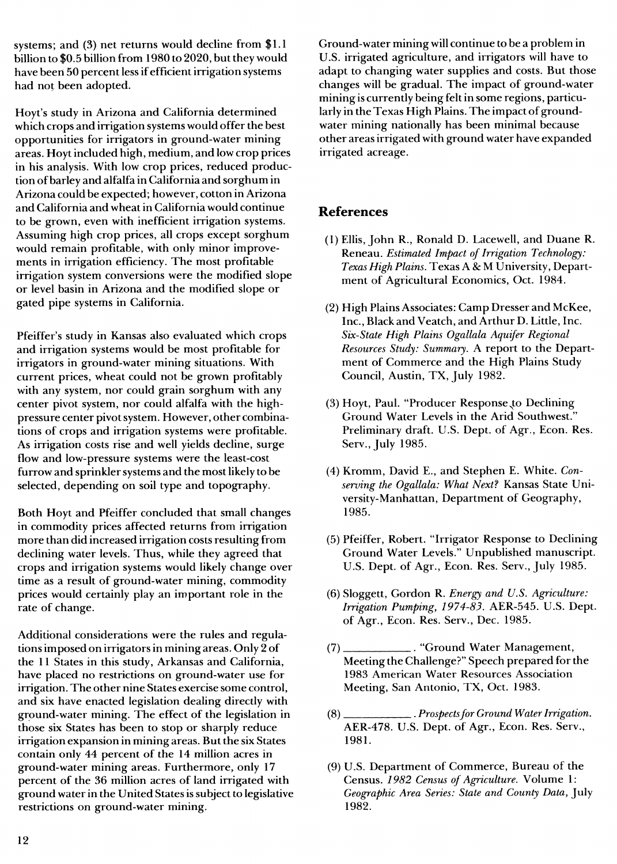systems; and (3) net returns would decline from \$1.1 billion to \$0.5 billion from 1980 to 2020, but they would have been 50 percent less if efficient irrigation systems had not been adopted.

Hoyt's study in Arizona and California determined which crops and irrigation systems would offer the best opportunities for irrigators in ground-water mining areas. Hoytincluded high, medium, and low crop prices in his analysis. With low crop prices, reduced production ofbarley and alfalfa in California and sorghum in Arizona could be expected; however, cotton in Arizona and California and wheatin California would continue to be grown, even with inefficient irrigation systems. Assuming high crop prices, all crops except sorghum would remain profitable, with only minor improvements in irrigation efficiency. The most profitable irrigation system conversions were the modified slope or level basin in Arizona and the modified slope or gated pipe systems in California.

Pfeiffer's study in Kansas also evaluated which crops and irrigation systems would be most profitable for irrigators in ground-water mining situations. With current prices, wheat could not be grown profitably with any system, nor could grain sorghum with any center pivot system, nor could alfalfa with the highpressure center pivotsystem. However, other combinations of crops and irrigation systems were profitable. As irrigation costs rise and well yields decline, surge flow and low-pressure systems were the least-cost furrow and sprinkler systems and the most likely to be selected, depending on soil type and topography.

Both Hoyt and Pfeiffer concluded that small changes in commodity prices affected returns from irrigation more than did increased irrigation costs resulting from declining water levels. Thus, while they agreed that crops and irrigation systems would likely change over time as a result of ground-water mining, commodity prices would certainly play an important role in the rate of change.

Additional considerations were the rules and regulations imposed on irrigators in mining areas. Only 2 of the 11 States in this study, Arkansas and California, have placed no restrictions on ground-water use for irrigation. The other nine States exercise some control, and six have enacted legislation dealing directly with ground-water mining. The effect of the legislation in those six States has been to stop or sharply reduce irrigation expansion in mining areas. But the six States contain only 44 percent of the 14 million acres in ground-water mining areas. Furthermore, only 17 percent of the 36 million acres of land irrigated with ground water in the United States is subject to legislative restrictions on ground-water mining.

Ground-water mining will continue to be a problem in U.S. irrigated agriculture, and irrigators will have to adapt to changing water supplies and costs. But those changes will be gradual. The impact of ground-water mining is currently being feltin some regions, particularly in the Texas High Plains. The impact of groundwater mining nationally has been minimal because other areas irrigated with ground water have expanded irrigated acreage.

# **References**

- (1) Ellis, John R., Ronald D. Lacewell, and Duane R. Reneau. *Estimated Impact of Irrigation Technology: Texas High Plains.* Texas A &; M University, Department of Agricultural Economics, Oct. 1984.
- (2) High Plains Associates: Camp Dresser and McKee, Inc., Black and Veatch, and Arthur D. Little, Inc. *Six-State High Plains O gállala Aquifer Regional Resources Study: Summary.* A report to the Department of Commerce and the High Plains Study Council, Austin, TX, July 1982.
- (3) Hoyt, Paul. "Producer Response^to Declining Ground Water Levels in the Arid Southwest." Preliminary draft. U.S. Dept. of Agr., Econ. Res. Serv., July 1985.
- (4) Kromm, David E., and Stephen E. White. *Conserving the Ogallala: What Next?* Kansas State University-Manhattan, Department of Geography, 1985.
- (5) Pfeiffer, Robert. "Irrigator Response to Declining Ground Water Levels." Unpublished manuscript. U.S. Dept. of Agr., Econ. Res. Serv., July 1985.
- (6) Sloggett, Gordon R. *Energy and U.S. Agriculture: Irrigation Pumping, 1974-83.* AER-545. U.S. Dept. of Agr., Econ. Res. Serv., Dec. 1985.
- **(7).** "Ground Water Management, Meeting the Challenge?" Speech prepared for the 1983 American Water Resources Association Meeting, San Antonio, TX, Oct. 1983.
- (8) . *Prospectsfor Ground WaterIrrigation.* AER-478. U.S. Dept. of Agr., Econ. Res. Serv., 1981.
- (9) U.S. Department of Commerce, Bureau of the Census. *1982 Census of Agriculture.* Volume 1: *Geographic Area Series: State and County Data,* July 1982.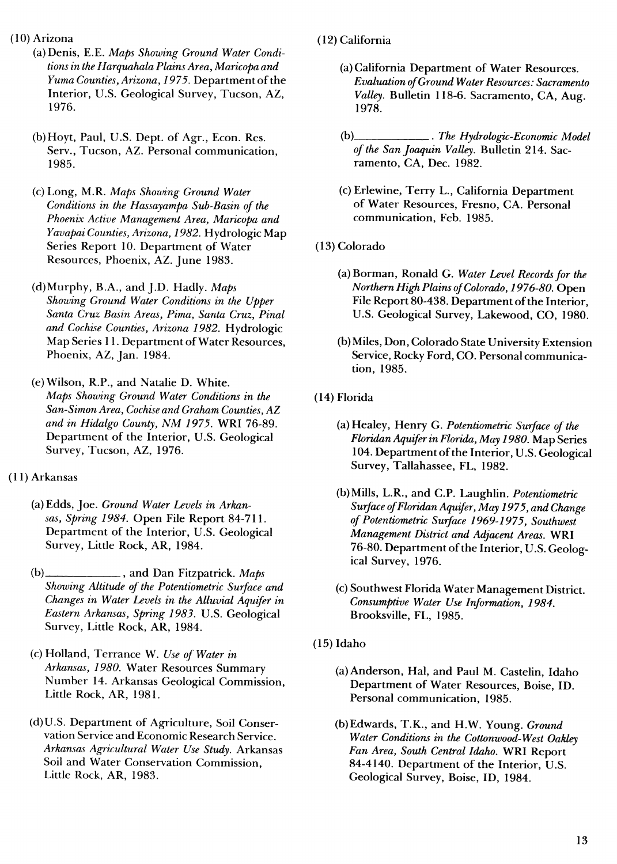(10) Arizona

- (a) Denis, E.E. *Maps Showing Ground Water Conditions in the Harquahala Plains Area, Maricopa and Yuma Counties, Arizona, 1975.* Department of the Interior, U.S. Geological Survey, Tucson, AZ, 1976.
- (b)Hoyt, Paul, U.S. Dept. of Agr., Econ. Res. Serv., Tucson, AZ. Personal communication, 1985.
- (c) Long, M.R. *Maps Showing Ground Water Conditions in the Hassayampa Sub-Basin of the Phoenix Active Management Area, Maricopa and Yavapai Counties, Arizona, 1982.* Hydrologie Map Series Report 10. Department of Water Resources, Phoenix, AZ. June 1983.
- (d)Murphy, B.A., and J.D. Hadly. *Maps Showing Ground Water Conditions in the Upper Santa Cruz Basin Areas, Pima, Santa Cruz, Pinal and Cochise Counties, Arizona 1982.* Hydrologie Map Series 11. Department of Water Resources, Phoenix, AZ, Jan. 1984.

(e) Wilson, R.P., and Natalie D. White. *Maps Showing Ground Water Conditions in the San-Simon Area, Cochise and Graham Counties, AZ and in Hidalgo County, NM 1975.* WRI 76-89. Department of the Interior, U.S. Geological Survey, Tucson, AZ, 1976.

- (11) Arkansas
	- (a) Edds, Joe. *Ground Water Levels in Arkansas, Spring 1984.* Open File Report 84-711. Department of the Interior, U.S. Geological Survey, Little Rock, AR, 1984.
	- (b)\_ and Dan Fitzpatrick. *Maps Showing Altitude* of the Potentiometric Surface and *Changes in Water Levels in the Alluvial Aquifer in Eastern Arkansas, Spring 1983.* U.S. Geological Survey, Little Rock, AR, 1984.
	- (c) Holland, Terrance W. *Use of Water in Arkansas, 1980.* Water Resources Summary Number 14. Arkansas Geological Commission, Little Rock, AR, 1981.
	- (d)U.S. Department of Agriculture, Soil Conservation Service and Economic Research Service. *Arkansas Agricultural Water Use Study.* Arkansas Soil and Water Conservation Commission, Little Rock, AR, 1983.
- (12) California
	- (a) California Department of Water Resources. *Evaluation ofGround WaterResources: Sacramento Valley.* Bulletin 118-6. Sacramento, CA, Aug. 1978.
	- (b)\_ .. *The Hydrologic-Economic Model ofthe San Joaquin Valley.* Bulletin 214. Sacramento, CA, Dec. 1982.
	- (c)Erlewine, Terry L., California Department of Water Resources, Fresno, CA. Personal communication, Feb. 1985.
- (13) Colorado
	- (a)Borman, Ronald G. *Water Level Recordsfor the Northern High Plains ofColorado, 1976-80.* Open File Report 80-438. Department of the Interior, U.S. Geological Survey, Lakewood, CO, 1980.
	- (b) Miles, Don, Colorado State University Extension Service, Rocky Ford, CO. Personal communication, 1985.
- (14) Florida
	- (a) Healey, Henry G. Potentiometric Surface of the *Eloridan Aquiferin Florida, May 1980.* Map Series 104. Department of the Interior, U.S. Geological Survey, Tallahassee, FL, 1982.
	- (b)Mills, L.R., and C.P. Laughlin. *Potentiometric*  $Surface$  *of Floridan Aquifer, May 1975, and Change of Potentiometric Surface 1969-1975, Southwest Management District and Adjacent Areas.* **WRI** 76-80. Department of the Interior, U.S. Geological Survey, 1976.
	- (c) Southwest Florida Water Management District. *Consumptive Water Use Information, 1984.* Brooksville, FL, 1985.
- (15) Idaho
	- (a) Anderson, Hal, and Paul M. Castelin, Idaho Department of Water Resources, Boise, ID. Personal communication, 1985.
	- (b)Edwards, T.K., and H.W. Young. *Ground Water Conditions in the Cottonwood-West Oakley Fan Area, South Central Idaho.* WRI Report 84-4140. Department of the Interior, U.S. Geological Survey, Boise, ID, 1984.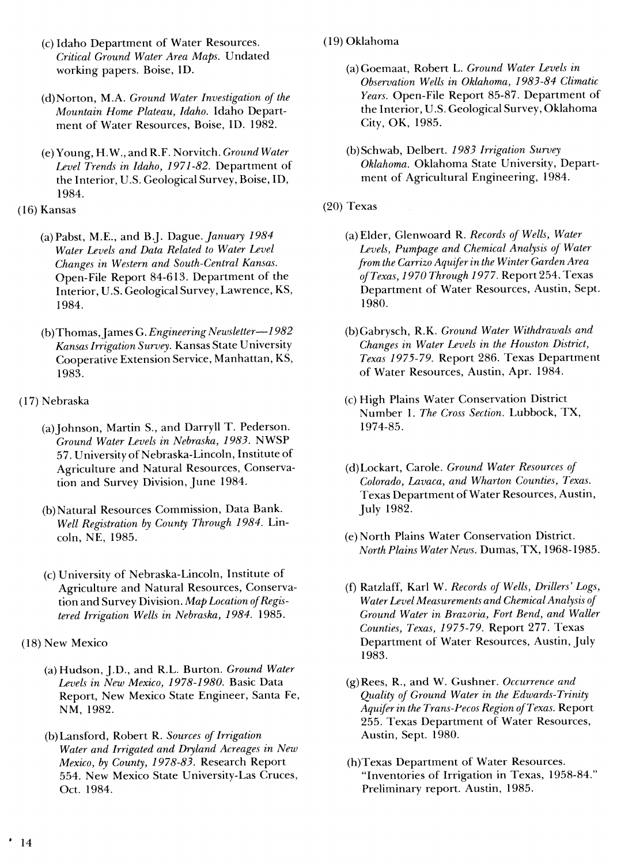- (c) Idaho Department of Water Resources. *Critical Ground Water Area Maps.* Undated working papers. Boise, ID.
- (d)Norton, M.A. *Ground Water Investigation of the Mountain Home Plateau, Idaho.* Idaho Department of Water Resources, Boise, ID. 1982.
- (e) Young, H.W., and R.F. Norvitch. *Ground Water Level Trends in Idaho, 1971-82.* Department of the Interior, U.S. Geological Survey, Boise, ID, 1984.
- (16) Kansas
	- (a)Pabst, M.E., and B.J. *Dsigue. January 1984 Water Levels and Data Related to Water Level Changes in Western and South-Central Kansas.* Open-File Report 84-613. Department of the Interior, U.S. Geological Survey, Lawrence, KS, 1984.
	- (b)Thomas,James G. *Engineering Newsletter*—*1982 Kansas Irrigation Survey.* Kansas State University Cooperative Extension Service, Manhattan, KS, 1983.
- (17) Nebraska
	- (a) Johnson, Martin S., and Darryll T. Pederson. *Ground Water Levels in Nebraska, 1983.* NWSP 57. University of Nebraska-Lincoln, Institute of Agriculture and Natural Resources, Conservation and Survey Division, June 1984.
	- (b)Natural Resources Commission, Data Bank. *Well Registration by County Through 1984.* Lincoln, NE, 1985.
	- (c) University of Nebraska-Lincoln, Institute of Agriculture and Natural Resources, Conservation and Survey Division. Map *Location* of Regis*tered Irrigation Wells in Nebraska, 1984.* 1985.
- (18) New Mexico
	- (a) Hudson, J.D., and R.L. Burton. *Ground Water Levels in New Mexico, 1978-1980.* Basic Data Report, New Mexico State Engineer, Santa Fe, NM, 1982.
	- (b)Lansford, Robert R. *Sources of Irrigation Water and Irrigated and Dryland Acreages in New Mexico, by County, 1978-83.* Research Report 554. New Mexico State University-Las Cruces, Oct. 1984.
- (19) Oklahoma
	- (a) Goemaat, Robert L. *Ground Water Levels in Observation Wells in Oklahoma, 1983-84 Climatic Years.* Open-File Report 85-87. Department of the Interior, U.S. Geological Survey, Oklahoma City, OK, 1985.
	- (b) Schwab, Delbert. *1983 Irrigation Survey Oklahoma.* Oklahoma State University, Department of Agricultural Engineering, 1984.
- (20) Texas
	- (a) Elder, Glenwoard R. *Records of Wells, Water Levels, Pumpage and Chemical Analysis of Water from the Carrizo Aquiferin the Winter Garden Area ofTexas, 1970 Through 1977.* Report 254. Texas Department of Water Resources, Austin, Sept. 1980.
	- (b)Gabrysch, R.K. *Ground Water Withdrawals and Changes in Water Levels in the Houston District, Texas 1975-79.* Report 286. Texas Department of Water Resources, Austin, Apr. 1984.
	- (c) High Plains Water Conservation District Number 1. *The Cross Section.* Lubbock, TX, 1974-85.
	- (d)Lockart, Carole. *Ground Water Resources of Colorado, Lavaca, and Wharton Counties, Texas.* Texas Department of Water Resources, Austin, July 1982.
	- (e) North Plains Water Conservation District. *North Plains Water News.* Dumas, TX, 1968-1985.
	- (f) Ratzlaff, Karl W. *Records of Wells, Drillers' Logs, Water Level Measurements and Chemical Analysis of Ground Water in Brazoria, Fort Bend, and Waller Counties, Texas, 1975-79.* Report 277. Texas Department of Water Resources, Austin, July 1983.
	- (g)Rees, R., and W. Gushner. *Occurrence and Quality of Ground Water in the Edwards-Trinity Aquifer in the Trans-Pecos Region ofTexas.* Report 255. Texas Department of Water Resources, Austin, Sept. 1980.
	- (h)Texas Department of Water Resources. "Inventories of Irrigation in Texas, 1958-84." Preliminary report. Austin, 1985.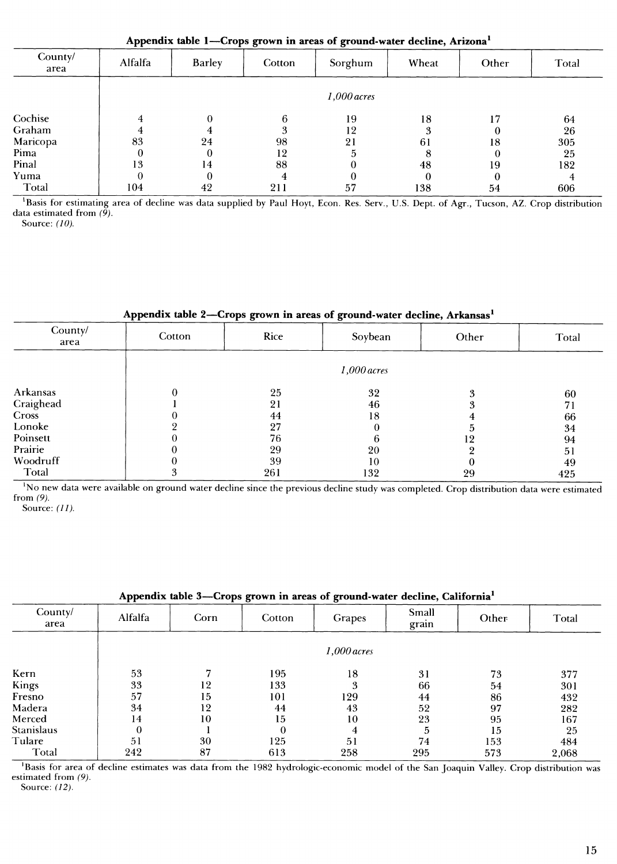**Appendix table 1—Crops grown in areas of ground-water decline, Arizona\***

| County/<br>area | Alfalfa | <b>Barley</b> | Cotton | Sorghum       | Wheat | Other | Total |
|-----------------|---------|---------------|--------|---------------|-------|-------|-------|
|                 |         |               |        | $1,000$ acres |       |       |       |
| Cochise         |         | $\Omega$      | 6      | 19            | 18    |       | 64    |
| Graham          |         |               |        | 12            | 3     |       | 26    |
| Maricopa        | 83      | 24            | 98     | 21            | 61    | 18    | 305   |
| Pima            |         |               | 12     |               | 8     |       | 25    |
| Pinal           | 13      | 14            | 88     |               | 48    | 19    | 182   |
| Yuma            |         |               |        |               | 0     |       |       |
| Total           | 104     | 42            | 211    | 57            | 138   | 54    | 606   |

<sup>1</sup>Basis for estimating area of decline was data supplied by Paul Hoyt, Econ. Res. Serv., U.S. Dept. of Agr., Tucson, AZ. Crop distribution data estimated from *(9).*

Source: *(10).*

#### **Appendix table 2—Crops grown in areas of ground-water decline, Arkansas^**

| County/<br>area | Cotton | Rice | Soybean       | Other | Total |
|-----------------|--------|------|---------------|-------|-------|
|                 |        |      | $1,000$ acres |       |       |
| Arkansas        |        | 25   | 32            |       | 60    |
| Craighead       |        | 21   | 46            | я     | 71    |
| Cross           |        | 44   | 18            |       | 66    |
| Lonoke          |        | 27   | 0             |       | 34    |
| Poinsett        |        | 76   | b             | 9     | 94    |
| Prairie         |        | 29   | 20            |       | 51    |
| Woodruff        |        | 39   | 10            |       | 49    |
| Total           | 3      | 261  | 132           | 29    | 425   |

<sup>1</sup>No new data were available on ground water decline since the previous decline study was completed. Crop distribution data were estimated from *(9).*

Source: *(11).*

| .<br>Ð<br>$\sigma$ - - - - - |         |      |          |               |                |       |       |  |  |  |  |
|------------------------------|---------|------|----------|---------------|----------------|-------|-------|--|--|--|--|
| County/<br>area              | Alfalfa | Corn | Cotton   | Grapes        | Small<br>grain | Other | Total |  |  |  |  |
|                              |         |      |          | $1,000$ acres |                |       |       |  |  |  |  |
| Kern                         | 53      | −    | 195      | 18            | 31             | 73    | 377   |  |  |  |  |
| Kings                        | 33      | 12   | 133      | 3             | 66             | 54    | 301   |  |  |  |  |
| Fresno                       | 57      | 15   | 101      | 129           | 44             | 86    | 432   |  |  |  |  |
| Madera                       | 34      | 12   | 44       | 43            | 52             | 97    | 282   |  |  |  |  |
| Merced                       | 14      | 10   | 15       | 10            | 23             | 95    | 167   |  |  |  |  |
| Stanislaus                   | 0       |      | $\theta$ | 4             | 5              | 15    | 25    |  |  |  |  |
| Tulare                       | 51      | 30   | 125      | 51            | 74             | 153   | 484   |  |  |  |  |
| Total                        | 242     | 87   | 613      | 258           | 295            | 573   | 2,068 |  |  |  |  |
|                              |         |      |          |               |                |       |       |  |  |  |  |

#### **Appendix table 3—Crops grown in areas of ground-water decline, California^**

Basis for area of decline estimates was data from the 1982 hydrologic-economic model of the San Joaquin Valley. Crop distribution was estimated from *(9).*

Source: *(12).*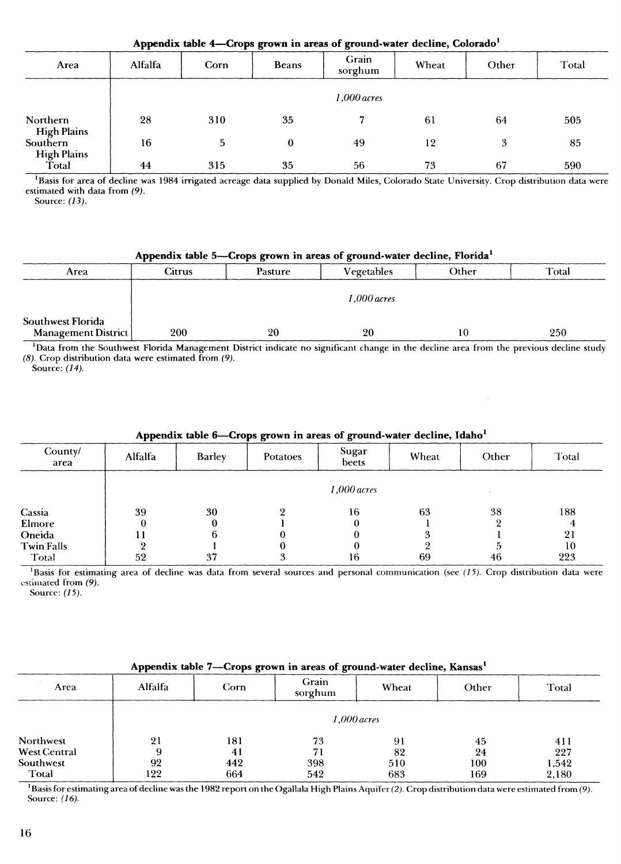| Appendix table 4—Crops grown in areas of ground-water decline, Colorado <sup>1</sup> |         |      |              |                  |       |       |       |  |  |  |
|--------------------------------------------------------------------------------------|---------|------|--------------|------------------|-------|-------|-------|--|--|--|
| Area                                                                                 | Alfalfa | Corn | <b>Beans</b> | Grain<br>sorghum | Wheat | Other | Total |  |  |  |
|                                                                                      |         |      |              | 1,000 acres      |       |       |       |  |  |  |
| Northern<br><b>High Plains</b>                                                       | 28      | 310  | 35           |                  | 61    | 64    | 505   |  |  |  |
| <b>Southern</b>                                                                      | 16      | 5    | 0            | 49               | 12    | 3     | 85    |  |  |  |
| <b>High Plains</b><br>Total                                                          | 44      | 315  | 35           | 56               | 73    | 67    | 590   |  |  |  |

Basis for area of decline was 1984 irrigated acreage data supplied by Donald Miles, Colorado State University. Crop distribution data were estimated with data from *(9).*

Source: *(13).*

#### **Appendix table** 5—**-Crops grown in areas of ground-water decline, Florida\***

|                                          | . .    | .             | . .        |       |       |  |  |
|------------------------------------------|--------|---------------|------------|-------|-------|--|--|
| Area                                     | Citrus | Pasture       | Vegetables | Other | Total |  |  |
|                                          |        | $1,000$ acres |            |       |       |  |  |
| Southwest Florida<br>Management District | 200    | 20            | 20         | 10    | 250   |  |  |

'Data from the Southwest Florida Management District indicate no significant change in the decline area from the previous decline study *(8).* Crop distribution data were estimated from *(9).*

Source: *(14).*

| are possessed on the case of growing water accrime, reame |               |                           |   |                         |    |       |       |  |  |  |  |
|-----------------------------------------------------------|---------------|---------------------------|---|-------------------------|----|-------|-------|--|--|--|--|
| County/<br>area                                           | Alfalfa       | <b>Barley</b><br>Potatoes |   | Sugar<br>Wheat<br>beets |    | Other | Total |  |  |  |  |
|                                                           | $1,000$ acres |                           |   |                         |    |       |       |  |  |  |  |
| Cassia                                                    | 39            | 30                        |   | 16                      | 63 | 38    | 188   |  |  |  |  |
| Elmore                                                    |               |                           |   |                         |    |       |       |  |  |  |  |
| Oneida                                                    |               |                           |   |                         |    |       | 21    |  |  |  |  |
| <b>Twin Falls</b>                                         |               |                           |   |                         |    |       | 10    |  |  |  |  |
| Total                                                     | 52            | 37                        | 3 | 16                      | 69 | 46    | 223   |  |  |  |  |

#### **Appendix table 6—Crops grown in areas of ground-water decline, Idaho\***

'Basis for estimating area of decline was data from several sources and personal communication (see *(15).* Crop distribution data were estimated from *(9).*

Source: *(15).*

#### **Appendix table 7-—Crops grown in areas of ground-water decline, Kansas^**

| Area                | Grain<br>Alfalfa<br>Corn<br>sorghum |     | Wheat | Other | Total |       |  |  |  |  |  |
|---------------------|-------------------------------------|-----|-------|-------|-------|-------|--|--|--|--|--|
|                     | $1,000$ acres                       |     |       |       |       |       |  |  |  |  |  |
| <b>Northwest</b>    | 21                                  | 181 | 73    | 91    | 45    | 411   |  |  |  |  |  |
| <b>West Central</b> | 9                                   | 41  | 71    | 82    | 24    | 227   |  |  |  |  |  |
| Southwest           | 92                                  | 442 | 398   | 510   | 100   | 1,542 |  |  |  |  |  |
| Total               | 122                                 | 664 | 542   | 683   | 169   | 2,180 |  |  |  |  |  |

Basis for estimating area of decline was the 1982 report on the Ogallala High Plains Aquifer *(2).* Crop distribution data were estimated from *(9).* Source: *(16).*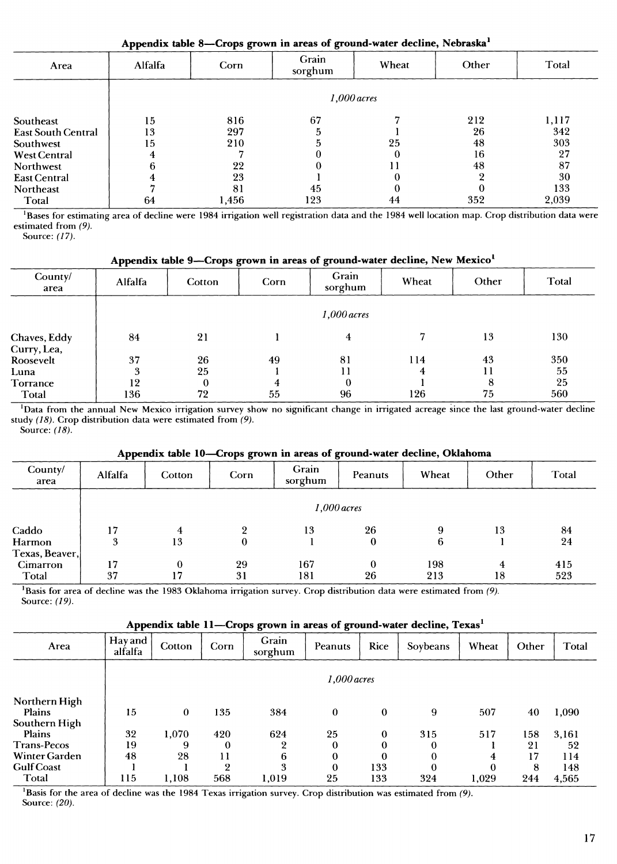| Appendix table 8—Crops grown in areas of ground-water decline, Nebraska <sup>1</sup> |               |       |     |    |     |       |  |  |  |  |  |  |
|--------------------------------------------------------------------------------------|---------------|-------|-----|----|-----|-------|--|--|--|--|--|--|
| Grain<br>Total<br>Other<br>Wheat<br>Alfalfa<br>Corn<br>Area<br>sorghum               |               |       |     |    |     |       |  |  |  |  |  |  |
|                                                                                      | $1,000$ acres |       |     |    |     |       |  |  |  |  |  |  |
| Southeast                                                                            | 15            | 816   | 67  |    | 212 | 1,117 |  |  |  |  |  |  |
| <b>East South Central</b>                                                            | 13            | 297   |     |    | 26  | 342   |  |  |  |  |  |  |
| Southwest                                                                            | 15            | 210   |     | 25 | 48  | 303   |  |  |  |  |  |  |
| <b>West Central</b>                                                                  |               |       |     |    | 16  | 27    |  |  |  |  |  |  |
| Northwest                                                                            |               | 22    |     |    | 48  | 87    |  |  |  |  |  |  |
| <b>East Central</b>                                                                  |               | 23    |     |    |     | 30    |  |  |  |  |  |  |
| Northeast                                                                            |               | 81    | 45  |    |     | 133   |  |  |  |  |  |  |
| Total                                                                                | 64            | 1.456 | 123 | 44 | 352 | 2.039 |  |  |  |  |  |  |

<sup>1</sup>Bases for estimating area of decline were 1984 irrigation well registration data and the 1984 well location map. Crop distribution data were estimated from *(9).*

Source: *(17).*

| Appendix table 9-Crops grown in areas of ground-water decline, New Mexico |  |  |
|---------------------------------------------------------------------------|--|--|
|                                                                           |  |  |

| County/<br>area             | Alfalfa | Cotton | Corn | Grain<br>sorghum | Wheat | Other | Total |
|-----------------------------|---------|--------|------|------------------|-------|-------|-------|
|                             |         |        |      | $1,000$ acres    |       |       |       |
| Chaves, Eddy<br>Curry, Lea, | 84      | 21     |      | 4                |       | 13    | 130   |
| Roosevelt                   | 37      | 26     | 49   | 81               | 114   | 43    | 350   |
| Luna                        | 3       | 25     |      |                  | 4     | 11    | 55    |
| Torrance                    | 12      | 0      | 4    | 0                |       | 8     | 25    |
| Total                       | 136     | 72     | 55   | 96               | 126   | 75    | 560   |

<sup>1</sup>Data from the annual New Mexico irrigation survey show no significant change in irrigated acreage since the last ground-water decline study *(18).* Crop distribution data were estimated from *(9).* Source: *(18).*

#### **Appendix table 10—Crops grown in areas of ground-water decline, Oklahoma**

|                 | . .           |          | . .<br>$\bullet$ | o                |          |       |       |       |  |  |  |
|-----------------|---------------|----------|------------------|------------------|----------|-------|-------|-------|--|--|--|
| County/<br>area | Alfalfa       | Cotton   | Corn             | Grain<br>sorghum | Peanuts  | Wheat | Other | Total |  |  |  |
|                 | $1,000$ acres |          |                  |                  |          |       |       |       |  |  |  |
| Caddo           | 17            | 4        | 9                | 13               | 26       | 9     | 13    | 84    |  |  |  |
| Harmon          | 3             | 13       | $\bf{0}$         |                  | 0        | 6     |       | 24    |  |  |  |
| Texas, Beaver,  |               |          |                  |                  |          |       |       |       |  |  |  |
| <b>Cimarron</b> | 17            | $\theta$ | 29               | 167              | $\theta$ | 198   | 4     | 415   |  |  |  |
| Total           | 37            | 17       | 31               | 181              | 26       | 213   | 18    | 523   |  |  |  |

'Basis for area of decline was the 1983 Oklahoma irrigation survey. Crop distribution data were estimated from *(9).* Source: *(19).*

# **Appendix table 11—Crops grown in areas of ground-water decline, Texas\***

| Area                                     | Hay and<br>alfalfa | Cotton        | Corn     | Grain<br>sorghum | Peanuts  | Rice         | Soybeans     | Wheat    | Other | Total |  |
|------------------------------------------|--------------------|---------------|----------|------------------|----------|--------------|--------------|----------|-------|-------|--|
|                                          |                    | $1,000$ acres |          |                  |          |              |              |          |       |       |  |
| Northern High<br>Plains<br>Southern High | 15                 | $\bf{0}$      | 135      | 384              | $\bf{0}$ | $\bf{0}$     | 9            | 507      | 40    | 1,090 |  |
| <b>Plains</b>                            | 32                 | 1,070         | 420      | 624              | 25       | $\bf{0}$     | 315          | 517      | 158   | 3,161 |  |
| <b>Trans-Pecos</b>                       | 19                 | 9             | 0        | 2                | $\theta$ | $\bf{0}$     | 0            |          | 21    | 52    |  |
| Winter Garden                            | 48                 | 28            | 11       | 6                | 0        | $\mathbf{0}$ | 0            | 4        | 17    | 114   |  |
| <b>Gulf Coast</b>                        |                    |               | $\Omega$ | 3                | 0        | 133          | $\mathbf{0}$ | $\Omega$ | 8     | 148   |  |
| Total                                    | 115                | 1.108         | 568      | 1,019            | 25       | 133          | 324          | 1.029    | 244   | 4,565 |  |

<sup>1</sup>Basis for the area of decline was the 1984 Texas irrigation survey. Crop distribution was estimated from (9). Source: *(20).*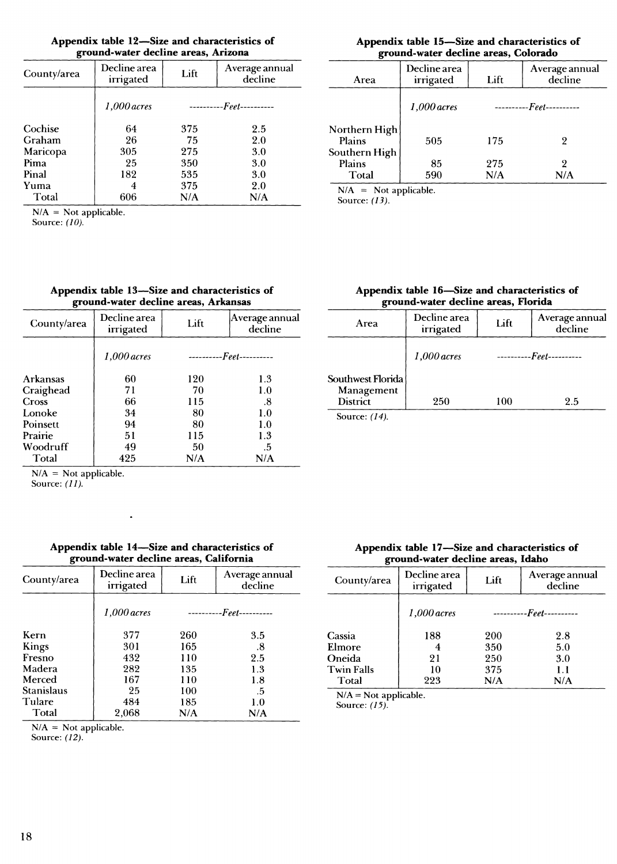|                                     | Appendix table 12—Size and characteristics of |
|-------------------------------------|-----------------------------------------------|
| ground-water decline areas, Arizona |                                               |

| County/area | Decline area<br>irrigated | Lift     | Average annual<br>decline |
|-------------|---------------------------|----------|---------------------------|
|             | 1,000 acres               | -------- | -- <i>Feet----------</i>  |
| Cochise     | 64                        | 375      | 2.5                       |
| Graham      | 26                        | 75       | 2.0                       |
| Maricopa    | 305                       | 275      | 3.0                       |
| Pima        | 25                        | 350      | 3.0                       |
| Pinal       | 182                       | 535      | 3.0                       |
| Yuma        | 4                         | 375      | 2.0                       |
| Total       | 606                       | N/A      | N/A                       |
|             |                           |          |                           |

 $N/A = Not applicable.$ 

Source: *(10).*

| Appendix table 13-Size and characteristics of |  |
|-----------------------------------------------|--|
| ground-water decline areas, Arkansas          |  |

| County/area     | Decline area<br>irrigated | Lift | Average annual<br>decline |
|-----------------|---------------------------|------|---------------------------|
|                 | 1,000 acres               |      | ----------Feet----------  |
| <b>Arkansas</b> | 60                        | 120  | 1.3                       |
| Craighead       | 71                        | 70   | 1.0                       |
| <b>Cross</b>    | 66                        | 115  | .8                        |
| Lonoke          | 34                        | 80   | 1.0                       |
| Poinsett        | 94                        | 80   | 1.0                       |
| Prairie         | 51                        | 115  | 1.3                       |
| Woodruff        | 49                        | 50   | .5                        |
| Total           | 425                       | N/A  | N/A                       |
|                 |                           |      |                           |

 $N/A = Not applicable.$ 

Source: *(11).*

| Appendix table 14-Size and characteristics of |  |
|-----------------------------------------------|--|
| ground-water decline areas, California        |  |

 $\cdot$ 

| County/area       | Decline area<br>irrigated | Lift                             | Average annual<br>decline |
|-------------------|---------------------------|----------------------------------|---------------------------|
|                   | $1,000$ acres             | ---------- <i>Feet----------</i> |                           |
| Kern              | 377                       | 260                              | 3.5                       |
| Kings             | 301                       | 165                              | .8                        |
| Fresno            | 432                       | 110                              | 2.5                       |
| Madera            | 282                       | 135                              | 1.3                       |
| Merced            | 167                       | 110                              | $1.8\,$                   |
| <b>Stanislaus</b> | 25                        | 100                              | -5                        |
| Tulare            | 484                       | 185                              | 1.0                       |
| Total             | 2,068                     | N/A                              | N/A                       |

 $N/A = Not applicable.$ 

Source: *(12).*

#### **Appendix table 15—Size and characteristics of ground-water decline areas, Colorado**

| o                                        |                           |            |                           |
|------------------------------------------|---------------------------|------------|---------------------------|
| Area                                     | Decline area<br>irrigated | Lift       | Average annual<br>decline |
|                                          | $1,000$ acres             | -------    | -Feet----------           |
| Northern High<br>Plains<br>Southern High | 505                       | 175        | 2                         |
| Plains<br>Total                          | 85<br>590                 | 275<br>N/A | 9<br>N/A                  |

 $N/A$  = Not applicable.

Source: *(13).*

#### **Appendix table 16—Size and characteristics of ground-water decline areas, Florida**

| Area                                               | Decline area<br>irrigated | Lift    | Average annual<br>decline |
|----------------------------------------------------|---------------------------|---------|---------------------------|
|                                                    | $1.000$ acres             | ------- | --Feet-----------         |
| Southwest Florida<br>Management<br><b>District</b> | 250                       | 100     | 2.5                       |
| Source: (14).                                      |                           |         |                           |

**Appendix table 17—Size and characteristics of ground-water decline areas, Idaho**

| Decline area<br>irrigated | Lift | Average annual<br>decline |
|---------------------------|------|---------------------------|
| $1.000$ acres             |      | ----------Feet----------  |
| 188                       | 200  | 2.8                       |
|                           | 350  | 5.0                       |
| 21                        | 250  | 3.0                       |
| 10                        | 375  | 1.1                       |
| 223                       | N/A  | N/A                       |
|                           |      |                           |

 $N/A = Not$  applicable.

Source: *(15).*